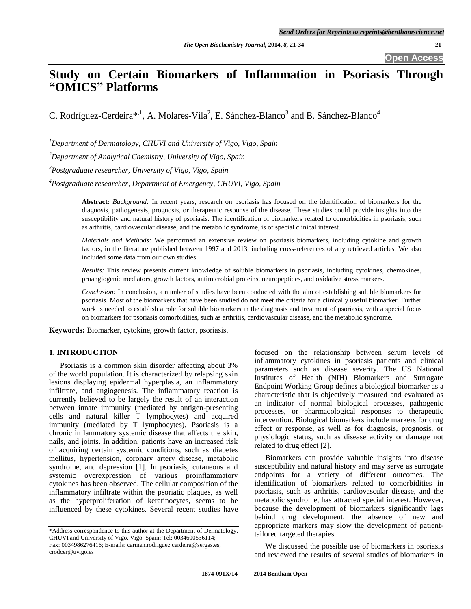# **Study on Certain Biomarkers of Inflammation in Psoriasis Through "OMICS" Platforms**

C. Rodríguez-Cerdeira\*<sup>,1</sup>, A. Molares-Vila<sup>2</sup>, E. Sánchez-Blanco<sup>3</sup> and B. Sánchez-Blanco<sup>4</sup>

*<sup>1</sup>Department of Dermatology, CHUVI and University of Vigo, Vigo, Spain*

*<sup>2</sup>Department of Analytical Chemistry, University of Vigo, Spain*

*<sup>3</sup>Postgraduate researcher, University of Vigo, Vigo, Spain*

*<sup>4</sup>Postgraduate researcher, Department of Emergency, CHUVI, Vigo, Spain*

**Abstract:** *Background:* In recent years, research on psoriasis has focused on the identification of biomarkers for the diagnosis, pathogenesis, prognosis, or therapeutic response of the disease. These studies could provide insights into the susceptibility and natural history of psoriasis. The identification of biomarkers related to comorbidities in psoriasis, such as arthritis, cardiovascular disease, and the metabolic syndrome, is of special clinical interest.

*Materials and Methods:* We performed an extensive review on psoriasis biomarkers, including cytokine and growth factors, in the literature published between 1997 and 2013, including cross-references of any retrieved articles. We also included some data from our own studies.

*Results:* This review presents current knowledge of soluble biomarkers in psoriasis, including cytokines, chemokines, proangiogenic mediators, growth factors, antimicrobial proteins, neuropeptides, and oxidative stress markers.

*Conclusion:* In conclusion, a number of studies have been conducted with the aim of establishing soluble biomarkers for psoriasis. Most of the biomarkers that have been studied do not meet the criteria for a clinically useful biomarker. Further work is needed to establish a role for soluble biomarkers in the diagnosis and treatment of psoriasis, with a special focus on biomarkers for psoriasis comorbidities, such as arthritis, cardiovascular disease, and the metabolic syndrome.

**Keywords:** Biomarker, cytokine, growth factor, psoriasis.

# **1. INTRODUCTION**

Psoriasis is a common skin disorder affecting about 3% of the world population. It is characterized by relapsing skin lesions displaying epidermal hyperplasia, an inflammatory infiltrate, and angiogenesis. The inflammatory reaction is currently believed to be largely the result of an interaction between innate immunity (mediated by antigen-presenting cells and natural killer T lymphocytes) and acquired immunity (mediated by T lymphocytes). Psoriasis is a chronic inflammatory systemic disease that affects the skin, nails, and joints. In addition, patients have an increased risk of acquiring certain systemic conditions, such as diabetes mellitus, hypertension, coronary artery disease, metabolic syndrome, and depression [1]. In psoriasis, cutaneous and systemic overexpression of various proinflammatory cytokines has been observed. The cellular composition of the inflammatory infiltrate within the psoriatic plaques, as well as the hyperproliferation of keratinocytes, seems to be influenced by these cytokines. Several recent studies have focused on the relationship between serum levels of inflammatory cytokines in psoriasis patients and clinical parameters such as disease severity. The US National Institutes of Health (NIH) Biomarkers and Surrogate Endpoint Working Group defines a biological biomarker as a characteristic that is objectively measured and evaluated as an indicator of normal biological processes, pathogenic processes, or pharmacological responses to therapeutic intervention. Biological biomarkers include markers for drug effect or response, as well as for diagnosis, prognosis, or physiologic status, such as disease activity or damage not related to drug effect [2].

Biomarkers can provide valuable insights into disease susceptibility and natural history and may serve as surrogate endpoints for a variety of different outcomes. The identification of biomarkers related to comorbidities in psoriasis, such as arthritis, cardiovascular disease, and the metabolic syndrome, has attracted special interest. However, because the development of biomarkers significantly lags behind drug development, the absence of new and appropriate markers may slow the development of patienttailored targeted therapies.

We discussed the possible use of biomarkers in psoriasis and reviewed the results of several studies of biomarkers in

<sup>\*</sup>Address correspondence to this author at the Department of Dermatology. CHUVI and University of Vigo, Vigo. Spain; Tel: 0034600536114; Fax: 0034986276416; E-mails: carmen.rodriguez.cerdeira@sergas.es; crodcer@uvigo.es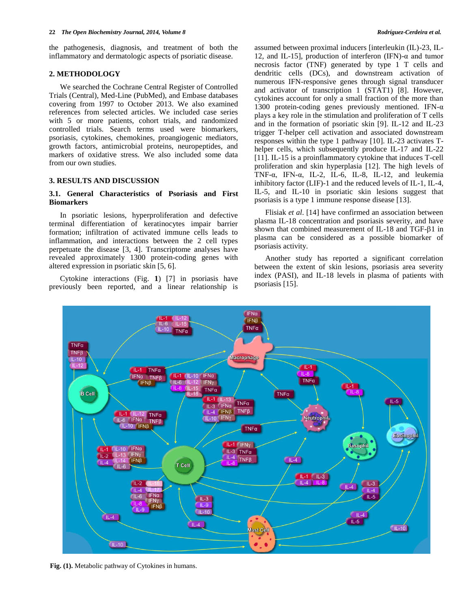the pathogenesis, diagnosis, and treatment of both the inflammatory and dermatologic aspects of psoriatic disease.

# **2. METHODOLOGY**

We searched the Cochrane Central Register of Controlled Trials (Central), Med-Line (PubMed), and Embase databases covering from 1997 to October 2013. We also examined references from selected articles. We included case series with 5 or more patients, cohort trials, and randomized controlled trials. Search terms used were biomarkers, psoriasis, cytokines, chemokines, proangiogenic mediators, growth factors, antimicrobial proteins, neuropeptides, and markers of oxidative stress. We also included some data from our own studies.

#### **3. RESULTS AND DISCUSSION**

# **3.1. General Characteristics of Psoriasis and First Biomarkers**

In psoriatic lesions, hyperproliferation and defective terminal differentiation of keratinocytes impair barrier formation; infiltration of activated immune cells leads to inflammation, and interactions between the 2 cell types perpetuate the disease [3, 4]. Transcriptome analyses have revealed approximately 1300 protein-coding genes with altered expression in psoriatic skin [5, 6].

Cytokine interactions (Fig. **1**) [7] in psoriasis have previously been reported, and a linear relationship is assumed between proximal inducers [interleukin (IL)-23, IL-12, and IL-15], production of interferon (IFN)-α and tumor necrosis factor (TNF) generated by type 1 T cells and dendritic cells (DCs), and downstream activation of numerous IFN-responsive genes through signal transducer and activator of transcription 1 (STAT1) [8]. However, cytokines account for only a small fraction of the more than 1300 protein-coding genes previously mentioned. IFN-α plays a key role in the stimulation and proliferation of T cells and in the formation of psoriatic skin [9]. IL-12 and IL-23 trigger T-helper cell activation and associated downstream responses within the type 1 pathway [10]. IL-23 activates Thelper cells, which subsequently produce IL-17 and IL-22 [11]. IL-15 is a proinflammatory cytokine that induces T-cell proliferation and skin hyperplasia [12]. The high levels of TNF- $\alpha$ , IFN- $\alpha$ , IL-2, IL-6, IL-8, IL-12, and leukemia inhibitory factor (LIF)-1 and the reduced levels of IL-1, IL-4, IL-5, and IL-10 in psoriatic skin lesions suggest that psoriasis is a type 1 immune response disease [13].

Flisiak *et al*. [14] have confirmed an association between plasma IL-18 concentration and psoriasis severity, and have shown that combined measurement of IL-18 and TGF- $\beta$ 1 in plasma can be considered as a possible biomarker of psoriasis activity.

Another study has reported a significant correlation between the extent of skin lesions, psoriasis area severity index (PASI), and IL-18 levels in plasma of patients with psoriasis [15].



**Fig. (1).** Metabolic pathway of Cytokines in humans.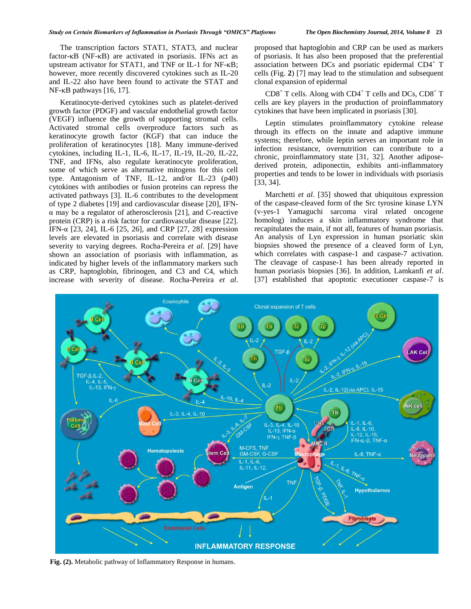The transcription factors STAT1, STAT3, and nuclear factor- $\kappa$ B (NF- $\kappa$ B) are activated in psoriasis. IFNs act as upstream activator for STAT1, and TNF or IL-1 for NF- $\kappa$ B; however, more recently discovered cytokines such as IL-20 and IL-22 also have been found to activate the STAT and  $NF$ - $\kappa$ B pathways [16, 17].

Keratinocyte-derived cytokines such as platelet-derived growth factor (PDGF) and vascular endothelial growth factor (VEGF) influence the growth of supporting stromal cells. Activated stromal cells overproduce factors such as keratinocyte growth factor (KGF) that can induce the proliferation of keratinocytes [18]. Many immune-derived cytokines, including IL-1, IL-6, IL-17, IL-19, IL-20, IL-22, TNF, and IFNs, also regulate keratinocyte proliferation, some of which serve as alternative mitogens for this cell type. Antagonism of TNF, IL-12, and/or IL-23 (p40) cytokines with antibodies or fusion proteins can repress the activated pathways [3]. IL-6 contributes to the development of type 2 diabetes [19] and cardiovascular disease [20], IFNα may be a regulator of atherosclerosis [21], and C-reactive protein (CRP) is a risk factor for cardiovascular disease [22]. IFN-α [23, 24], IL-6 [25, 26], and CRP [27, 28] expression levels are elevated in psoriasis and correlate with disease severity to varying degrees. Rocha-Pereira *et al*. [29] have shown an association of psoriasis with inflammation, as indicated by higher levels of the inflammatory markers such as CRP, haptoglobin, fibrinogen, and C3 and C4, which increase with severity of disease. Rocha-Pereira *et al*.

proposed that haptoglobin and CRP can be used as markers of psoriasis. It has also been proposed that the preferential association between DCs and psoriatic epidermal CD4<sup>+</sup> T cells (Fig. **2**) [7] may lead to the stimulation and subsequent clonal expansion of epidermal

 $CD8<sup>+</sup>$  T cells. Along with  $CD4<sup>+</sup>$  T cells and DCs,  $CD8<sup>+</sup>$  T cells are key players in the production of proinflammatory cytokines that have been implicated in psoriasis [30].

Leptin stimulates proinflammatory cytokine release through its effects on the innate and adaptive immune systems; therefore, while leptin serves an important role in infection resistance, overnutrition can contribute to a chronic, proinflammatory state [31, 32]. Another adiposederived protein, adiponectin, exhibits anti-inflammatory properties and tends to be lower in individuals with psoriasis [33, 34].

Marchetti *et al*. [35] showed that ubiquitous expression of the caspase-cleaved form of the Src tyrosine kinase LYN (v-yes-1 Yamaguchi sarcoma viral related oncogene homolog) induces a skin inflammatory syndrome that recapitulates the main, if not all, features of human psoriasis. An analysis of Lyn expression in human psoriatic skin biopsies showed the presence of a cleaved form of Lyn, which correlates with caspase-1 and caspase-7 activation. The cleavage of caspase-1 has been already reported in human psoriasis biopsies [36]. In addition, Lamkanfi *et al*. [37] established that apoptotic executioner caspase-7 is



**Fig. (2).** Metabolic pathway of Inflammatory Response in humans.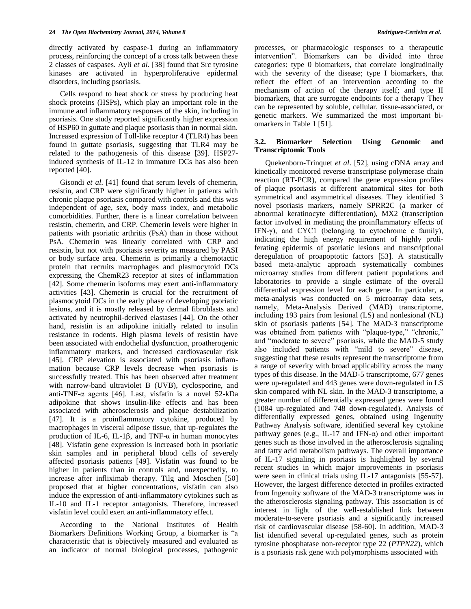directly activated by caspase-1 during an inflammatory process, reinforcing the concept of a cross talk between these 2 classes of caspases. Ayli *et al*. [38] found that Src tyrosine kinases are activated in hyperproliferative epidermal disorders, including psoriasis.

Cells respond to heat shock or stress by producing heat shock proteins (HSPs), which play an important role in the immune and inflammatory responses of the skin, including in psoriasis. One study reported significantly higher expression of HSP60 in guttate and plaque psoriasis than in normal skin. Increased expression of Toll-like receptor 4 (TLR4) has been found in guttate psoriasis, suggesting that TLR4 may be related to the pathogenesis of this disease [39]. HSP27 induced synthesis of IL-12 in immature DCs has also been reported [40].

Gisondi *et al*. [41] found that serum levels of chemerin, resistin, and CRP were significantly higher in patients with chronic plaque psoriasis compared with controls and this was independent of age, sex, body mass index, and metabolic comorbidities. Further, there is a linear correlation between resistin, chemerin, and CRP. Chemerin levels were higher in patients with psoriatic arthritis (PsA) than in those without PsA. Chemerin was linearly correlated with CRP and resistin, but not with psoriasis severity as measured by PASI or body surface area. Chemerin is primarily a chemotactic protein that recruits macrophages and plasmocytoid DCs expressing the ChemR23 receptor at sites of inflammation [42]. Some chemerin isoforms may exert anti-inflammatory activities [43]. Chemerin is crucial for the recruitment of plasmocytoid DCs in the early phase of developing psoriatic lesions, and it is mostly released by dermal fibroblasts and activated by neutrophil-derived elastases [44]. On the other hand, resistin is an adipokine initially related to insulin resistance in rodents. High plasma levels of resistin have been associated with endothelial dysfunction, proatherogenic inflammatory markers, and increased cardiovascular risk [45]. CRP elevation is associated with psoriasis inflammation because CRP levels decrease when psoriasis is successfully treated. This has been observed after treatment with narrow-band ultraviolet B (UVB), cyclosporine, and anti-TNF-α agents [46]. Last, visfatin is a novel 52-kDa adipokine that shows insulin-like effects and has been associated with atherosclerosis and plaque destabilization [47]. It is a proinflammatory cytokine, produced by macrophages in visceral adipose tissue, that up-regulates the production of IL-6, IL-1 $\beta$ , and TNF- $\alpha$  in human monocytes [48]. Visfatin gene expression is increased both in psoriatic skin samples and in peripheral blood cells of severely affected psoriasis patients [49]. Visfatin was found to be higher in patients than in controls and, unexpectedly, to increase after infliximab therapy. Tilg and Moschen [50] proposed that at higher concentrations, visfatin can also induce the expression of anti-inflammatory cytokines such as IL-10 and IL-1 receptor antagonists. Therefore, increased visfatin level could exert an anti-inflammatory effect.

According to the National Institutes of Health Biomarkers Definitions Working Group, a biomarker is "a characteristic that is objectively measured and evaluated as an indicator of normal biological processes, pathogenic processes, or pharmacologic responses to a therapeutic intervention". Biomarkers can be divided into three categories: type 0 biomarkers, that correlate longitudinally with the severity of the disease; type I biomarkers, that reflect the effect of an intervention according to the mechanism of action of the therapy itself; and type II biomarkers, that are surrogate endpoints for a therapy They can be represented by soluble, cellular, tissue-associated, or genetic markers. We summarized the most important biomarkers in Table **1** [51].

#### **3.2. Biomarker Selection Using Genomic and Transcriptomic Tools**

Quekenborn-Trinquet *et al*. [52], using cDNA array and kinetically monitored reverse transcriptase polymerase chain reaction (RT-PCR), compared the gene expression profiles of plaque psoriasis at different anatomical sites for both symmetrical and asymmetrical diseases. They identified 3 novel psoriasis markers, namely SPRR2C (a marker of abnormal keratinocyte differentiation), MX2 (transcription factor involved in mediating the proinflammatory effects of IFN-γ), and CYC1 (belonging to cytochrome c family), indicating the high energy requirement of highly proliferating epidermis of psoriatic lesions and transcriptional deregulation of proapoptotic factors [53]. A statistically based meta-analytic approach systematically combines microarray studies from different patient populations and laboratories to provide a single estimate of the overall differential expression level for each gene. In particular, a meta-analysis was conducted on 5 microarray data sets, namely, Meta-Analysis Derived (MAD) transcriptome, including 193 pairs from lesional (LS) and nonlesional (NL) skin of psoriasis patients [54]. The MAD-3 transcriptome was obtained from patients with "plaque-type," "chronic," and "moderate to severe" psoriasis, while the MAD-5 study also included patients with "mild to severe" disease, suggesting that these results represent the transcriptome from a range of severity with broad applicability across the many types of this disease. In the MAD-5 transcriptome, 677 genes were up-regulated and 443 genes were down-regulated in LS skin compared with NL skin. In the MAD-3 transcriptome, a greater number of differentially expressed genes were found (1084 up-regulated and 748 down-regulated). Analysis of differentially expressed genes, obtained using Ingenuity Pathway Analysis software, identified several key cytokine pathway genes (e.g., IL-17 and IFN- $\alpha$ ) and other important genes such as those involved in the atherosclerosis signaling and fatty acid metabolism pathways. The overall importance of IL-17 signaling in psoriasis is highlighted by several recent studies in which major improvements in psoriasis were seen in clinical trials using IL-17 antagonists [55-57]. However, the largest difference detected in profiles extracted from Ingenuity software of the MAD-3 transcriptome was in the atherosclerosis signaling pathway. This association is of interest in light of the well-established link between moderate-to-severe psoriasis and a significantly increased risk of cardiovascular disease [58-60]. In addition, MAD-3 list identified several up-regulated genes, such as protein tyrosine phosphatase non-receptor type 22 (*PTPN22*), which is a psoriasis risk gene with polymorphisms associated with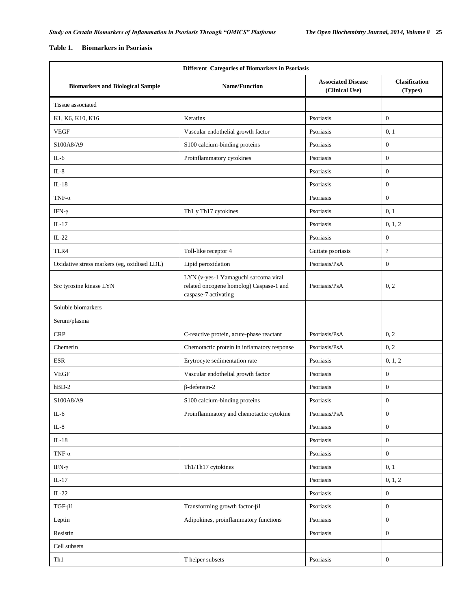# **Table 1. Biomarkers in Psoriasis**

| Different Categories of Biomarkers in Psoriasis |                                                                                                         |                                             |                                 |  |
|-------------------------------------------------|---------------------------------------------------------------------------------------------------------|---------------------------------------------|---------------------------------|--|
| <b>Biomarkers and Biological Sample</b>         | <b>Name/Function</b>                                                                                    | <b>Associated Disease</b><br>(Clinical Use) | <b>Clasification</b><br>(Types) |  |
| Tissue associated                               |                                                                                                         |                                             |                                 |  |
| K1, K6, K10, K16                                | Keratins                                                                                                | Psoriasis                                   | $\overline{0}$                  |  |
| <b>VEGF</b>                                     | Vascular endothelial growth factor                                                                      | Psoriasis                                   | 0, 1                            |  |
| S100A8/A9                                       | S100 calcium-binding proteins                                                                           | Psoriasis                                   | $\mathbf{0}$                    |  |
| $IL-6$                                          | Proinflammatory cytokines                                                                               | Psoriasis                                   | $\boldsymbol{0}$                |  |
| $IL-8$                                          |                                                                                                         | Psoriasis                                   | $\mathbf{0}$                    |  |
| $IL-18$                                         |                                                                                                         | Psoriasis                                   | $\boldsymbol{0}$                |  |
| TNF- $\alpha$                                   |                                                                                                         | Psoriasis                                   | $\mathbf{0}$                    |  |
| IFN- $\gamma$                                   | Th1 y Th17 cytokines                                                                                    | Psoriasis                                   | 0, 1                            |  |
| $IL-17$                                         |                                                                                                         | Psoriasis                                   | 0, 1, 2                         |  |
| $IL-22$                                         |                                                                                                         | Psoriasis                                   | $\boldsymbol{0}$                |  |
| TLR4                                            | Toll-like receptor 4                                                                                    | Guttate psoriasis                           | $\overline{?}$                  |  |
| Oxidative stress markers (eg, oxidised LDL)     | Lipid peroxidation                                                                                      | Psoriasis/PsA                               | $\boldsymbol{0}$                |  |
| Src tyrosine kinase LYN                         | LYN (v-yes-1 Yamaguchi sarcoma viral<br>related oncogene homolog) Caspase-1 and<br>caspase-7 activating | Psoriasis/PsA                               | 0, 2                            |  |
| Soluble biomarkers                              |                                                                                                         |                                             |                                 |  |
| Serum/plasma                                    |                                                                                                         |                                             |                                 |  |
| <b>CRP</b>                                      | C-reactive protein, acute-phase reactant                                                                | Psoriasis/PsA                               | 0, 2                            |  |
| Chemerin                                        | Chemotactic protein in inflamatory response                                                             | Psoriasis/PsA                               | 0, 2                            |  |
| <b>ESR</b>                                      | Erytrocyte sedimentation rate                                                                           | Psoriasis                                   | 0, 1, 2                         |  |
| <b>VEGF</b>                                     | Vascular endothelial growth factor                                                                      | Psoriasis                                   | $\boldsymbol{0}$                |  |
| $hBD-2$                                         | $\beta$ -defensin-2                                                                                     | Psoriasis                                   | $\boldsymbol{0}$                |  |
| S100A8/A9                                       | S100 calcium-binding proteins                                                                           | Psoriasis                                   | $\boldsymbol{0}$                |  |
| $IL-6$                                          | Proinflammatory and chemotactic cytokine                                                                | Psoriasis/PsA                               | $\boldsymbol{0}$                |  |
| $\rm IL\text{-}8$                               |                                                                                                         | Psoriasis                                   | $\boldsymbol{0}$                |  |
| $IL-18$                                         |                                                                                                         | Psoriasis                                   | $\boldsymbol{0}$                |  |
| TNF- $\alpha$                                   |                                                                                                         | Psoriasis                                   | $\boldsymbol{0}$                |  |
| IFN- $\gamma$                                   | Th1/Th17 cytokines                                                                                      | Psoriasis                                   | 0, 1                            |  |
| $IL-17$                                         |                                                                                                         | Psoriasis                                   | 0, 1, 2                         |  |
| $IL-22$                                         |                                                                                                         | Psoriasis                                   | $\boldsymbol{0}$                |  |
| $TGF-\beta1$                                    | Transforming growth factor- $\beta$ 1                                                                   | Psoriasis                                   | $\boldsymbol{0}$                |  |
| Leptin                                          | Adipokines, proinflammatory functions                                                                   | Psoriasis                                   | $\boldsymbol{0}$                |  |
| Resistin                                        |                                                                                                         | Psoriasis                                   | $\boldsymbol{0}$                |  |
| Cell subsets                                    |                                                                                                         |                                             |                                 |  |
| Th1                                             | T helper subsets                                                                                        | Psoriasis                                   | $\boldsymbol{0}$                |  |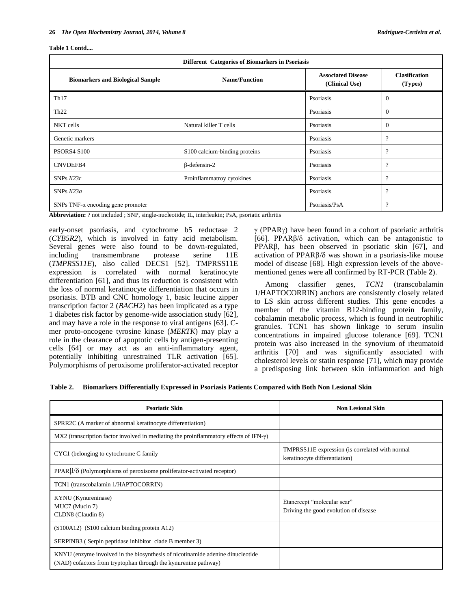| Different Categories of Biomarkers in Psoriasis |                               |                                             |                                 |  |
|-------------------------------------------------|-------------------------------|---------------------------------------------|---------------------------------|--|
| <b>Biomarkers and Biological Sample</b>         | <b>Name/Function</b>          | <b>Associated Disease</b><br>(Clinical Use) | <b>Clasification</b><br>(Types) |  |
| Th17                                            |                               | Psoriasis                                   | $\overline{0}$                  |  |
| Th22                                            |                               | Psoriasis                                   | $\overline{0}$                  |  |
| NKT cells                                       | Natural killer T cells        | Psoriasis                                   | $\overline{0}$                  |  |
| Genetic markers                                 |                               | Psoriasis                                   | $\overline{\mathcal{L}}$        |  |
| PSORS4 S100                                     | S100 calcium-binding proteins | Psoriasis                                   | $\boldsymbol{\mathcal{P}}$      |  |
| CNVDEFB4                                        | $\beta$ -defensin-2           | Psoriasis                                   | $\overline{\mathcal{L}}$        |  |
| SNPs $ll23r$                                    | Proinflammatroy cytokines     | Psoriasis                                   | $\boldsymbol{\mathcal{P}}$      |  |
| SNPs Il23a                                      |                               | Psoriasis                                   | $\boldsymbol{\mathcal{P}}$      |  |
| SNPs TNF- $\alpha$ encoding gene promoter       |                               | Psoriasis/PsA                               | $\overline{\cdot}$              |  |

**Abbreviation:** ? not included ; SNP, single-nucleotide; IL, interleukin; PsA, psoriatic arthritis

early-onset psoriasis, and cytochrome b5 reductase 2 (*CYB5R2*), which is involved in fatty acid metabolism. Several genes were also found to be down-regulated, including transmembrane protease serine 11E (*TMPRSS11E*), also called DECS1 [52]. TMPRSS11E expression is correlated with normal keratinocyte differentiation [61], and thus its reduction is consistent with the loss of normal keratinocyte differentiation that occurs in psoriasis. BTB and CNC homology 1, basic leucine zipper transcription factor 2 (*BACH2*) has been implicated as a type 1 diabetes risk factor by genome-wide association study [62], and may have a role in the response to viral antigens [63]. Cmer proto-oncogene tyrosine kinase (*MERTK*) may play a role in the clearance of apoptotic cells by antigen-presenting cells [64] or may act as an anti-inflammatory agent, potentially inhibiting unrestrained TLR activation [65]. Polymorphisms of peroxisome proliferator-activated receptor

 $\gamma$  (PPAR $\gamma$ ) have been found in a cohort of psoriatic arthritis [66]. PPARβ/δ activation, which can be antagonistic to PPARβ, has been observed in psoriatic skin [67], and activation of PPAR $\beta$ / $\delta$  was shown in a psoriasis-like mouse model of disease [68]. High expression levels of the abovementioned genes were all confirmed by RT-PCR (Table **2**).

Among classifier genes, *TCN1* (transcobalamin 1/HAPTOCORRIN) anchors are consistently closely related to LS skin across different studies. This gene encodes a member of the vitamin B12-binding protein family, cobalamin metabolic process, which is found in neutrophilic granules. TCN1 has shown linkage to serum insulin concentrations in impaired glucose tolerance [69]. TCN1 protein was also increased in the synovium of rheumatoid arthritis [70] and was significantly associated with cholesterol levels or statin response [71], which may provide a predisposing link between skin inflammation and high

**Table 2. Biomarkers Differentially Expressed in Psoriasis Patients Compared with Both Non Lesional Skin**

| <b>Psoriatic Skin</b>                                                                                                                             | <b>Non Lesional Skin</b>                                                         |  |
|---------------------------------------------------------------------------------------------------------------------------------------------------|----------------------------------------------------------------------------------|--|
| SPRR2C (A marker of abnormal keratinocyte differentiation)                                                                                        |                                                                                  |  |
| MX2 (transcription factor involved in mediating the proinflammatory effects of IFN- $\gamma$ )                                                    |                                                                                  |  |
| CYC1 (belonging to cytochrome C family                                                                                                            | TMPRSS11E expression (is correlated with normal<br>keratinocyte differentiation) |  |
| $PPAR\beta/\delta$ (Polymorphisms of peroxisome proliferator-activated receptor)                                                                  |                                                                                  |  |
| TCN1 (transcobalamin 1/HAPTOCORRIN)                                                                                                               |                                                                                  |  |
| KYNU (Kynureninase)<br>MUC7 (Mucin 7)<br>CLDN8 (Claudin 8)                                                                                        | Etanercept "molecular scar"<br>Driving the good evolution of disease             |  |
| (S100A12) (S100 calcium binding protein A12)                                                                                                      |                                                                                  |  |
| SERPINB3 (Serpin peptidase inhibitor clade B member 3)                                                                                            |                                                                                  |  |
| KNYU (enzyme involved in the biosynthesis of nicotinamide adenine dinucleotide<br>(NAD) cofactors from tryptophan through the kynurenine pathway) |                                                                                  |  |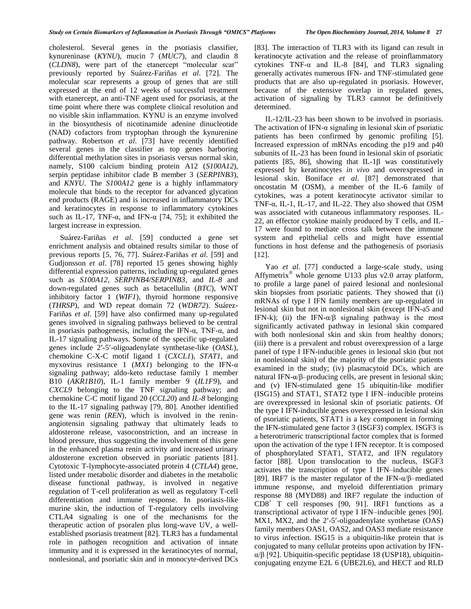cholesterol. Several genes in the psoriasis classifier, kynureninase (*KYNU*), mucin 7 (*MUC7*), and claudin 8 (*CLDN8*), were part of the etanercept "molecular scar" previously reported by Suárez-Fariñas *et al*. [72]. The molecular scar represents a group of genes that are still expressed at the end of 12 weeks of successful treatment with etanercept, an anti-TNF agent used for psoriasis, at the time point where there was complete clinical resolution and no visible skin inflammation. KYNU is an enzyme involved in the biosynthesis of nicotinamide adenine dinucleotide (NAD) cofactors from tryptophan through the kynurenine pathway. Robertson *et al*. [73] have recently identified several genes in the classifier as top genes harboring differential methylation sites in psoriasis versus normal skin, namely, S100 calcium binding protein A12 (*S100A12*), serpin peptidase inhibitor clade B member 3 (*SERPINB3*), and *KNYU*. The *S100A12* gene is a highly inflammatory molecule that binds to the receptor for advanced glycation end products (RAGE) and is increased in inflammatory DCs and keratinocytes in response to inflammatory cytokines such as IL-17, TNF- $\alpha$ , and IFN- $\alpha$  [74, 75]; it exhibited the

largest increase in expression.

Suárez-Fariñas *et al*. [59] conducted a gene set enrichment analysis and obtained results similar to those of previous reports [5, 76, 77]. Suárez-Fariñas *et al*. [59] and Gudjonsson *et al*. [78] reported 15 genes showing highly differential expression patterns, including up-regulated genes such as *S100A12*, *SERPINB4/SERPINB3*, and *IL-8* and down-regulated genes such as betacellulin (*BTC*), WNT inhibitory factor 1 (*WIF1*), thyroid hormone responsive (*THRSP*), and WD repeat domain 72 (*WDR72*). Suárez-Fariñas *et al*. [59] have also confirmed many up-regulated genes involved in signaling pathways believed to be central in psoriasis pathogenesis, including the IFN-α, TNF-α, and IL-17 signaling pathways. Some of the specific up-regulated genes include 2-5-oligoadenylate synthetase-like (*OASL*), chemokine C-X-C motif ligand 1 (*CXCL1*), *STAT1*, and myxovirus resistance 1 (*MX1*) belonging to the IFN-α signaling pathway; aldo-keto reductase family 1 member B10 (*AKR1B10*), IL-1 family member 9 (*IL1F9*), and *CXCL9* belonging to the TNF signaling pathway; and chemokine C-C motif ligand 20 (*CCL20*) and *IL-8* belonging to the IL-17 signaling pathway [79, 80]. Another identified gene was renin (*REN*), which is involved in the reninangiotensin signaling pathway that ultimately leads to aldosterone release, vasoconstriction, and an increase in blood pressure, thus suggesting the involvement of this gene in the enhanced plasma renin activity and increased urinary aldosterone excretion observed in psoriatic patients [81]. Cytotoxic T-lymphocyte-associated protein 4 (*CTLA4*) gene, listed under metabolic disorder and diabetes in the metabolic disease functional pathway, is involved in negative regulation of T-cell proliferation as well as regulatory T-cell differentiation and immune response. In psoriasis-like murine skin, the induction of T-regulatory cells involving CTLA4 signaling is one of the mechanisms for the therapeutic action of psoralen plus long-wave UV, a wellestablished psoriasis treatment [82]. TLR3 has a fundamental role in pathogen recognition and activation of innate immunity and it is expressed in the keratinocytes of normal, nonlesional, and psoriatic skin and in monocyte-derived DCs [83]. The interaction of TLR3 with its ligand can result in keratinocyte activation and the release of proinflammatory cytokines  $TNF-\alpha$  and IL-8 [84], and TLR3 signaling generally activates numerous IFN- and TNF-stimulated gene products that are also up-regulated in psoriasis. However, because of the extensive overlap in regulated genes, activation of signaling by TLR3 cannot be definitively determined.

IL-12/IL-23 has been shown to be involved in psoriasis. The activation of IFN- $\alpha$  signaling in lesional skin of psoriatic patients has been confirmed by genomic profiling [5]. Increased expression of mRNAs encoding the p19 and p40 subunits of IL-23 has been found in lesional skin of psoriatic patients  $[85, 86]$ , showing that IL-1 $\beta$  was constitutively expressed by keratinocytes *in vivo* and overexpressed in lesional skin. Boniface *et al*. [87] demonstrated that oncostatin M (OSM), a member of the IL-6 family of cytokines, was a potent keratinocyte activator similar to TNF- $\alpha$ , IL-1, IL-17, and IL-22. They also showed that OSM was associated with cutaneous inflammatory responses. IL-22, an effector cytokine mainly produced by T cells, and IL-17 were found to mediate cross talk between the immune system and epithelial cells and might have essential functions in host defense and the pathogenesis of psoriasis [12].

Yao *et al*. [77] conducted a large-scale study, using Affymetrix® whole genome U133 plus v2.0 array platform, to profile a large panel of paired lesional and nonlesional skin biopsies from psoriatic patients. They showed that (i) mRNAs of type I IFN family members are up-regulated in lesional skin but not in nonlesional skin (except IFN-a5 and IFN-k); (ii) the IFN- $\alpha/\beta$  signaling pathway is the most significantly activated pathway in lesional skin compared with both nonlesional skin and skin from healthy donors; (iii) there is a prevalent and robust overexpression of a large panel of type I IFN-inducible genes in lesional skin (but not in nonlesional skin) of the majority of the psoriatic patients examined in the study; (iv) plasmacytoid DCs, which are natural IFN- $\alpha/\beta$ -producing cells, are present in lesional skin; and (v) IFN-stimulated gene 15 ubiquitin-like modifier (ISG15) and STAT1, STAT2 type I IFN–inducible proteins are overexpressed in lesional skin of psoriatic patients. Of the type I IFN-inducible genes overexpressed in lesional skin of psoriatic patients, STAT1 is a key component in forming the IFN-stimulated gene factor 3 (ISGF3) complex. ISGF3 is a heterotrimeric transcriptional factor complex that is formed upon the activation of the type I IFN receptor. It is composed of phosphorylated STAT1, STAT2, and IFN regulatory factor [88]. Upon translocation to the nucleus, ISGF3 activates the transcription of type I IFN–inducible genes [89]. IRF7 is the master regulator of the IFN- $\alpha/\beta$ -mediated immune response, and myeloid differentiation primary response 88 (MYD88) and IRF7 regulate the induction of  $CD8<sup>+</sup>$  T cell responses [90, 91]. IRF1 functions as a transcriptional activator of type I IFN–inducible genes [90]. MX1, MX2, and the 2'-5'-oligoadenylate synthetase (OAS) family members OAS1, OAS2, and OAS3 mediate resistance to virus infection. ISG15 is a ubiquitin-like protein that is conjugated to many cellular proteins upon activation by IFNα/β [92]. Ubiquitin-specific peptidase 18 (USP18), ubiquitinconjugating enzyme E2L 6 (UBE2L6), and HECT and RLD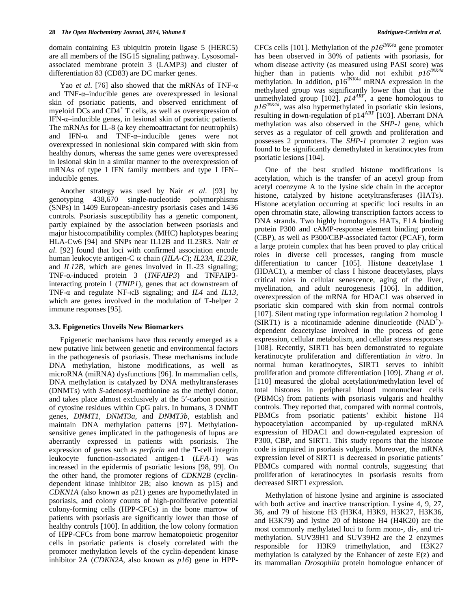domain containing E3 ubiquitin protein ligase 5 (HERC5) are all members of the ISG15 signaling pathway. Lysosomalassociated membrane protein 3 (LAMP3) and cluster of differentiation 83 (CD83) are DC marker genes.

Yao *et al*. [76] also showed that the mRNAs of TNF-α and TNF-α–inducible genes are overexpressed in lesional skin of psoriatic patients, and observed enrichment of myeloid DCs and CD4<sup>+</sup> T cells, as well as overexpression of IFN-α–inducible genes, in lesional skin of psoriatic patients. The mRNAs for IL-8 (a key chemoattractant for neutrophils) and IFN- $\alpha$  and TNF- $\alpha$ -inducible genes were not overexpressed in nonlesional skin compared with skin from healthy donors, whereas the same genes were overexpressed in lesional skin in a similar manner to the overexpression of mRNAs of type I IFN family members and type I IFN– inducible genes.

Another strategy was used by Nair *et al*. [93] by genotyping 438,670 single-nucleotide polymorphisms (SNPs) in 1409 European-ancestry psoriasis cases and 1436 controls. Psoriasis susceptibility has a genetic component, partly explained by the association between psoriasis and major histocompatibility complex (MHC) haplotypes bearing HLA-Cw6 [94] and SNPs near IL12B and IL23R3. Nair *et al*. [92] found that loci with confirmed association encode human leukocyte antigen-C chain (*HLA-C*); *IL23A*, *IL23R*, and *IL12B*, which are genes involved in IL-23 signaling; TNF-α-induced protein 3 (*TNFAIP3*) and TNFAIP3interacting protein 1 (*TNIP1*), genes that act downstream of TNF- $\alpha$  and regulate NF- $\kappa$ B signaling; and *IL4* and *IL13*, which are genes involved in the modulation of T-helper 2 immune responses [95].

#### **3.3. Epigenetics Unveils New Biomarkers**

Epigenetic mechanisms have thus recently emerged as a new putative link between genetic and environmental factors in the pathogenesis of psoriasis. These mechanisms include DNA methylation, histone modifications, as well as microRNA (miRNA) dysfunctions [96]. In mammalian cells, DNA methylation is catalyzed by DNA methyltransferases (DNMTs) with *S*-adenosyl-methionine as the methyl donor, and takes place almost exclusively at the 5-carbon position of cytosine residues within CpG pairs. In humans, 3 DNMT genes, *DNMT1*, *DNMT3a*, and *DNMT3b*, establish and maintain DNA methylation patterns [97]. Methylationsensitive genes implicated in the pathogenesis of lupus are aberrantly expressed in patients with psoriasis. The expression of genes such as *perforin* and the T-cell integrin leukocyte function-associated antigen-1 (*LFA-1*) was increased in the epidermis of psoriatic lesions [98, 99]. On the other hand, the promoter regions of *CDKN2B* (cyclindependent kinase inhibitor 2B; also known as p15) and *CDKN1A* (also known as p21) genes are hypomethylated in psoriasis, and colony counts of high-proliferative potential colony-forming cells (HPP-CFCs) in the bone marrow of patients with psoriasis are significantly lower than those of healthy controls [100]. In addition, the low colony formation of HPP-CFCs from bone marrow hematopoietic progenitor cells in psoriatic patients is closely correlated with the promoter methylation levels of the cyclin-dependent kinase inhibitor 2A (*CDKN2A*, also known as *p16*) gene in HPP-

CFCs cells [101]. Methylation of the *p16INK4a* gene promoter has been observed in 30% of patients with psoriasis, for whom disease activity (as measured using PASI score) was higher than in patients who did not exhibit *p16INK4a* methylation. In addition,  $p16^{INK4a}$  mRNA expression in the methylated group was significantly lower than that in the unmethylated group [102]. *p14ARF*, a gene homologous to *p16INK4a*, was also hypermethylated in psoriatic skin lesions, resulting in down-regulation of  $p14^{ARF}$  [103]. Aberrant DNA methylation was also observed in the *SHP-1* gene, which serves as a regulator of cell growth and proliferation and possesses 2 promoters. The *SHP-1* promoter 2 region was found to be significantly demethylated in keratinocytes from psoriatic lesions [104].

One of the best studied histone modifications is acetylation, which is the transfer of an acetyl group from acetyl coenzyme A to the lysine side chain in the acceptor histone, catalyzed by histone acetyltransferases (HATs). Histone acetylation occurring at specific loci results in an open chromatin state, allowing transcription factors access to DNA strands. Two highly homologous HATs, E1A binding protein P300 and cAMP-response element binding protein (CBP), as well as P300/CBP-associated factor (PCAF), form a large protein complex that has been proved to play critical roles in diverse cell processes, ranging from muscle differentiation to cancer [105]. Histone deacetylase 1 (HDAC1), a member of class I histone deacetylases, plays critical roles in cellular senescence, aging of the liver, myelination, and adult neurogenesis [106]. In addition, overexpression of the mRNA for HDAC1 was observed in psoriatic skin compared with skin from normal controls [107]. Silent mating type information regulation 2 homolog 1 (SIRT1) is a nicotinamide adenine dinucleotide (NAD<sup>+</sup>)dependent deacetylase involved in the process of gene expression, cellular metabolism, and cellular stress responses [108]. Recently, SIRT1 has been demonstrated to regulate keratinocyte proliferation and differentiation *in vitro*. In normal human keratinocytes, SIRT1 serves to inhibit proliferation and promote differentiation [109]. Zhang *et al*. [110] measured the global acetylation/methylation level of total histones in peripheral blood mononuclear cells (PBMCs) from patients with psoriasis vulgaris and healthy controls. They reported that, compared with normal controls, PBMCs from psoriatic patients' exhibit histone H4 hypoacetylation accompanied by up-regulated mRNA expression of HDAC1 and down-regulated expression of P300, CBP, and SIRT1. This study reports that the histone code is impaired in psoriasis vulgaris. Moreover, the mRNA expression level of SIRT1 is decreased in psoriatic patients' PBMCs compared with normal controls, suggesting that proliferation of keratinocytes in psoriasis results from decreased SIRT1 expression.

Methylation of histone lysine and arginine is associated with both active and inactive transcription. Lysine 4, 9, 27, 36, and 79 of histone H3 (H3K4, H3K9, H3K27, H3K36, and H3K79) and lysine 20 of histone H4 (H4K20) are the most commonly methylated loci to form mono-, di-, and trimethylation. SUV39H1 and SUV39H2 are the 2 enzymes responsible for H3K9 trimethylation, and H3K27 methylation is catalyzed by the Enhancer of zeste E(z) and its mammalian *Drosophila* protein homologue enhancer of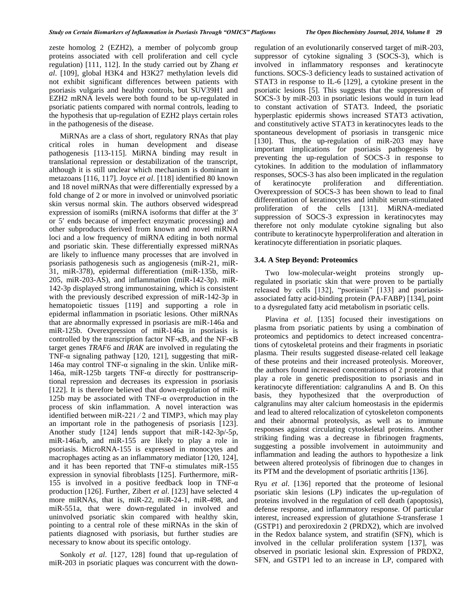zeste homolog 2 (EZH2), a member of polycomb group proteins associated with cell proliferation and cell cycle regulation) [111, 112]. In the study carried out by Zhang *et al*. [109], global H3K4 and H3K27 methylation levels did not exhibit significant differences between patients with psoriasis vulgaris and healthy controls, but SUV39H1 and EZH2 mRNA levels were both found to be up-regulated in psoriatic patients compared with normal controls, leading to the hypothesis that up-regulation of EZH2 plays certain roles in the pathogenesis of the disease.

MiRNAs are a class of short, regulatory RNAs that play critical roles in human development and disease pathogenesis [113-115]. MiRNA binding may result in translational repression or destabilization of the transcript, although it is still unclear which mechanism is dominant in metazoans [116, 117]. Joyce *et al*. [118] identified 80 known and 18 novel miRNAs that were differentially expressed by a fold change of 2 or more in involved or uninvolved psoriatic skin versus normal skin. The authors observed widespread expression of isomiRs (miRNA isoforms that differ at the 3 or 5' ends because of imperfect enzymatic processing) and other subproducts derived from known and novel miRNA loci and a low frequency of miRNA editing in both normal and psoriatic skin. These differentially expressed miRNAs are likely to influence many processes that are involved in psoriasis pathogenesis such as angiogenesis (miR-21, miR-31, miR-378), epidermal differentiation (miR-135b, miR-205, miR-203-AS), and inflammation (miR-142-3p). miR-142-3p displayed strong immunostaining, which is consistent with the previously described expression of miR-142-3p in hematopoietic tissues [119] and supporting a role in epidermal inflammation in psoriatic lesions. Other miRNAs that are abnormally expressed in psoriasis are miR-146a and miR-125b. Overexpression of miR-146a in psoriasis is controlled by the transcription factor  $NF$ - $\kappa$ B, and the  $NF$ - $\kappa$ B target genes *TRAF6* and *IRAK* are involved in regulating the TNF- $\alpha$  signaling pathway [120, 121], suggesting that miR-146a may control TNF- $\alpha$  signaling in the skin. Unlike miR-146a, miR-125b targets TNF-α directly for posttranscriptional repression and decreases its expression in psoriasis [122]. It is therefore believed that down-regulation of miR-125b may be associated with TNF- $\alpha$  overproduction in the process of skin inflammation. A novel interaction was identified between miR-221 ⁄ 2 and TIMP3, which may play an important role in the pathogenesis of psoriasis [123]. Another study [124] lends support that miR-142-3p/-5p, miR-146a/b, and miR-155 are likely to play a role in psoriasis. MicroRNA-155 is expressed in monocytes and macrophages acting as an inflammatory mediator [120, 124], and it has been reported that TNF- $\alpha$  stimulates miR-155 expression in synovial fibroblasts [125]. Furthermore, miR-155 is involved in a positive feedback loop in TNF- $\alpha$ production [126]. Further, Zibert *et al*. [123] have selected 4 more miRNAs, that is, miR-22, miR-24-1, miR-498, and miR-551a, that were down-regulated in involved and uninvolved psoriatic skin compared with healthy skin, pointing to a central role of these miRNAs in the skin of patients diagnosed with psoriasis, but further studies are necessary to know about its specific ontology.

Sonkoly *et al*. [127, 128] found that up-regulation of miR-203 in psoriatic plaques was concurrent with the downregulation of an evolutionarily conserved target of miR-203, suppressor of cytokine signaling 3 (SOCS-3), which is involved in inflammatory responses and keratinocyte functions. SOCS-3 deficiency leads to sustained activation of STAT3 in response to IL-6 [129], a cytokine present in the psoriatic lesions [5]. This suggests that the suppression of SOCS-3 by miR-203 in psoriatic lesions would in turn lead to constant activation of STAT3. Indeed, the psoriatic hyperplastic epidermis shows increased STAT3 activation, and constitutively active STAT3 in keratinocytes leads to the spontaneous development of psoriasis in transgenic mice [130]. Thus, the up-regulation of miR-203 may have important implications for psoriasis pathogenesis by preventing the up-regulation of SOCS-3 in response to cytokines. In addition to the modulation of inflammatory responses, SOCS-3 has also been implicated in the regulation of keratinocyte proliferation and differentiation. Overexpression of SOCS-3 has been shown to lead to final differentiation of keratinocytes and inhibit serum-stimulated proliferation of the cells [131]. MiRNA-mediated suppression of SOCS-3 expression in keratinocytes may therefore not only modulate cytokine signaling but also

# **3.4. A Step Beyond: Proteomics**

Two low-molecular-weight proteins strongly upregulated in psoriatic skin that were proven to be partially released by cells [132], "psoriasin" [133] and psoriasisassociated fatty acid-binding protein (PA-FABP) [134], point to a dysregulated fatty acid metabolism in psoriatic cells.

contribute to keratinocyte hyperproliferation and alteration in

keratinocyte differentiation in psoriatic plaques.

Plavina *et al*. [135] focused their investigations on plasma from psoriatic patients by using a combination of proteomics and peptidomics to detect increased concentrations of cytoskeletal proteins and their fragments in psoriatic plasma. Their results suggested disease-related cell leakage of these proteins and their increased proteolysis. Moreover, the authors found increased concentrations of 2 proteins that play a role in genetic predisposition to psoriasis and in keratinocyte differentiation: calgranulins A and B. On this basis, they hypothesized that the overproduction of calgranulins may alter calcium homeostasis in the epidermis and lead to altered relocalization of cytoskeleton components and their abnormal proteolysis, as well as to immune responses against circulating cytoskeletal proteins. Another striking finding was a decrease in fibrinogen fragments, suggesting a possible involvement in autoimmunity and inflammation and leading the authors to hypothesize a link between altered proteolysis of fibrinogen due to changes in its PTM and the development of psoriatic arthritis [136].

Ryu *et al*. [136] reported that the proteome of lesional psoriatic skin lesions (LP) indicates the up-regulation of proteins involved in the regulation of cell death (apoptosis), defense response, and inflammatory response. Of particular interest, increased expression of glutathione *S*-transferase 1 (GSTP1) and peroxiredoxin 2 (PRDX2), which are involved in the Redox balance system, and stratifin (SFN), which is involved in the cellular proliferation system [137], was observed in psoriatic lesional skin. Expression of PRDX2, SFN, and GSTP1 led to an increase in LP, compared with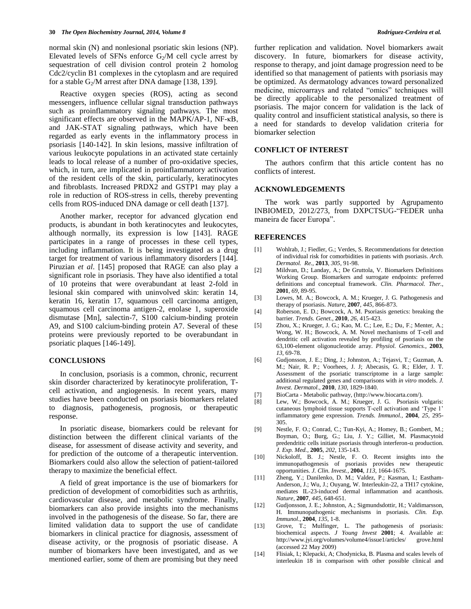normal skin (N) and nonlesional psoriatic skin lesions (NP). Elevated levels of SFNs enforce  $G_2/M$  cell cycle arrest by sequestration of cell division control protein 2 homolog Cdc2/cyclin B1 complexes in the cytoplasm and are required for a stable  $G_2/M$  arrest after DNA damage [138, 139].

Reactive oxygen species (ROS), acting as second messengers, influence cellular signal transduction pathways such as proinflammatory signaling pathways. The most significant effects are observed in the MAPK/AP-1, NF-κB, and JAK-STAT signaling pathways, which have been regarded as early events in the inflammatory process in psoriasis [140-142]. In skin lesions, massive infiltration of various leukocyte populations in an activated state certainly leads to local release of a number of pro-oxidative species, which, in turn, are implicated in proinflammatory activation of the resident cells of the skin, particularly, keratinocytes and fibroblasts. Increased PRDX2 and GSTP1 may play a role in reduction of ROS-stress in cells, thereby preventing cells from ROS-induced DNA damage or cell death [137].

Another marker, receptor for advanced glycation end products, is abundant in both keratinocytes and leukocytes, although normally, its expression is low [143]. RAGE participates in a range of processes in these cell types, including inflammation. It is being investigated as a drug target for treatment of various inflammatory disorders [144]. Piruzian *et al*. [145] proposed that RAGE can also play a significant role in psoriasis. They have also identified a total of 10 proteins that were overabundant at least 2-fold in lesional skin compared with uninvolved skin: keratin 14, keratin 16, keratin 17, squamous cell carcinoma antigen, squamous cell carcinoma antigen-2, enolase 1, superoxide dismutase [Mn], salectin-7, S100 calcium-binding protein A9, and S100 calcium-binding protein A7. Several of these proteins were previously reported to be overabundant in psoriatic plaques [146-149].

#### **CONCLUSIONS**

In conclusion, psoriasis is a common, chronic, recurrent skin disorder characterized by keratinocyte proliferation, Tcell activation, and angiogenesis. In recent years, many studies have been conducted on psoriasis biomarkers related to diagnosis, pathogenesis, prognosis, or therapeutic response.

In psoriatic disease, biomarkers could be relevant for distinction between the different clinical variants of the disease, for assessment of disease activity and severity, and for prediction of the outcome of a therapeutic intervention. Biomarkers could also allow the selection of patient-tailored therapy to maximize the beneficial effect.

A field of great importance is the use of biomarkers for prediction of development of comorbidities such as arthritis, cardiovascular disease, and metabolic syndrome. Finally, biomarkers can also provide insights into the mechanisms involved in the pathogenesis of the disease. So far, there are limited validation data to support the use of candidate biomarkers in clinical practice for diagnosis, assessment of disease activity, or the prognosis of psoriatic disease. A number of biomarkers have been investigated, and as we mentioned earlier, some of them are promising but they need further replication and validation. Novel biomarkers await discovery. In future, biomarkers for disease activity, response to therapy, and joint damage progression need to be identified so that management of patients with psoriasis may be optimized. As dermatology advances toward personalized medicine, microarrays and related "omics" techniques will be directly applicable to the personalized treatment of psoriasis. The major concern for validation is the lack of quality control and insufficient statistical analysis, so there is a need for standards to develop validation criteria for biomarker selection

#### **CONFLICT OF INTEREST**

The authors confirm that this article content has no conflicts of interest.

#### **ACKNOWLEDGEMENTS**

The work was partly supported by Agrupamento INBIOMED, 2012/273, from DXPCTSUG-"FEDER unha maneira de facer Europa".

#### **REFERENCES**

- [1] Wohlrab, J.; Fiedler, G.; Verdes, S. Recommendations for detection of individual risk for comorbidities in patients with psoriasis. *Arch. Dermatol. Re.,* **2013***, 305*, 91-98.
- [2] Mildvan, D.; Landay, A.; De Gruttola, V. Biomarkers Definitions Working Group. Biomarkers and surrogate endpoints: preferred definitions and conceptual framework. *Clin. Pharmacol. Ther.*, **2001**, *69*, 89-95.
- [3] Lowes, M. A.; Bowcock, A. M.; Krueger, J. G. Pathogenesis and therapy of psoriasis. *Nature*, **2007**, *445*, 866-873.
- [4] Roberson, E. D.; Bowcock, A. M. Psoriasis genetics: breaking the barrier. *Trends. Genet.*, **2010**, *26*, 415-423.
- [5] Zhou, X.; Krueger, J. G.; Kao, M. C.; Lee, E.; Du, F.; Menter, A.; Wong, W. H.; Bowcock, A. M. Novel mechanisms of T-cell and dendritic cell activation revealed by profiling of psoriasis on the 63,100-element oligonucleotide array. *Physiol. Genomics.*, **2003**, *13*, 69-78.
- [6] Gudjonsson, J. E.; Ding, J.; Johnston, A.; Tejasvi, T.; Guzman, A. M.; Nair, R. P.; Voorhees, J. J; Abecasis, G. R.; Elder, J. T. Assessment of the psoriatic transcriptome in a large sample: additional regulated genes and comparisons with *in vitro* models. *J. Invest. Dermatol.*, **2010**, *130*, 1829-1840.
- [7] BioCarta Metabolic pathway, [\(http://www.biocarta.com/\)](http://www.biocarta.com/).
- [8] Lew, W.; Bowcock, A. M.; Krueger, J. G. Psoriasis vulgaris: cutaneous lymphoid tissue supports T-cell activation and 'Type 1' inflammatory gene expression. *Trends. Immunol.*, **2004**, *25*, 295- 305.
- [9] Nestle, F. O.; Conrad, C.; Tun-Kyi, A.; Homey, B.; Gombert, M.; Boyman, O.; Burg, G.; Liu, J. Y.; Gilliet, M. Plasmacytoid predendritic cells initiate psoriasis through interferon- $\alpha$  production. *J. Exp. Med.*, **2005**, *202*, 135-143.
- [10] Nickoloff, B. J.; Nestle, F. O. Recent insights into the immunopathogenesis of psoriasis provides new therapeutic opportunities. *J. Clin. Invest.*, **2004**, *113*, 1664-1675.
- [11] Zheng, Y.; Danilenko, D. M.; Valdez, P.; Kasman, I.; Eastham-Anderson, J.; Wu, J.; Ouyang, W. Interleukin-22, a TH17 cytokine, mediates IL-23-induced dermal inflammation and acanthosis. *Nature*, **2007**, *445*, 648-651.
- [12] Gudjonsson, J. E.; Johnston, A.; Sigmundsdottir, H.; Valdimarsson, H. Immunopathogenic mechanisms in psoriasis. *Clin. Exp. Immunol.*, **2004**, *135*, 1-8.
- [13] Grove, T.; Mulfinger, L. The pathogenesis of psoriasis: biochemical aspects. *J Young Invest* **2001**; 4. Available at: http://www.jyi.org/volumes/volume4/issue1/articles/ grove.html (accessed 22 May 2009)
- [14] Flisiak, I.; Klepacki, A; Chodynicka, B. Plasma and scales levels of interleukin 18 in comparison with other possible clinical and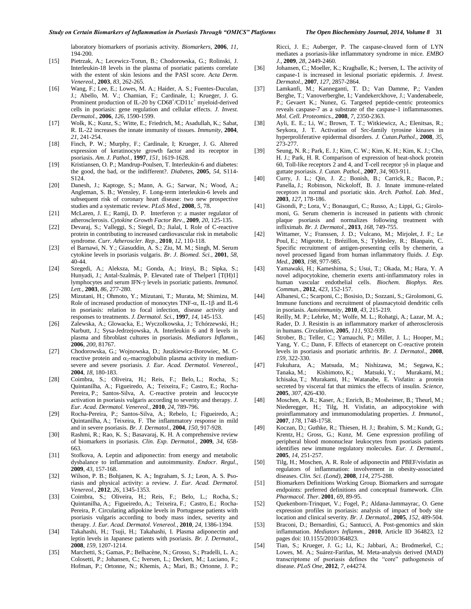laboratory biomarkers of psoriasis activity. *Biomarkers*, **2006**, *11*, 194-200.

- [15] Pietrzak, A.; Lecewicz-Torun, B.; Chodorowska, G.; Rolinski, J. Interleukin-18 levels in the plasma of psoriatic patients correlate with the extent of skin lesions and the PASI score. *Acta Derm. Venereol.*, **2003**, *83*, 262-265.
- [16] Wang, F.; Lee, E.; Lowes, M. A.; Haider, A. S.; Fuentes-Duculan, J.; Abello, M. V.; Chamian, F.; Cardinale, I.; Krueger, J. G. Prominent production of IL-20 by CD68+/CD11c<sup>+</sup> myeloid-derived cells in psoriasis: gene regulation and cellular effects. *J. Invest. Dermatol.*, **2006**, *126*, 1590-1599.
- [17] Wolk, K.; Kunz, S.; Witte, E.; Friedrich, M.; Asadullah, K.; Sabat, R. IL-22 increases the innate immunity of tissues. *Immunity*, **2004**, *21*, 241-254.
- [18] Finch, P. W.; Murphy, F.; Cardinale, I; Krueger, J. G. Altered expression of keratinocyte growth factor and its receptor in psoriasis. *Am. J. Pathol.*, **1997**, *151*, 1619-1628.
- [19] Kristiansen, O. P.; Mandrup-Poulsen, T. Interleukin-6 and diabetes: the good, the bad, or the indifferent?. *Diabetes*, **2005**, *54*, S114- S124.
- [20] Danesh, J.; Kaptoge, S.; Mann, A. G.; Sarwar, N.; Wood, A.; Angleman, S. B.; Wensley, F. Long-term interleukin-6 levels and subsequent risk of coronary heart disease: two new prospective studies and a systematic review. *PLoS Med.*, **2008**, *5*, 78.
- [21] McLaren, J. E.; Ramji, D. P. Interferon  $\gamma$ : a master regulator of atherosclerosis. *Cytokine Growth Factor Rev.*, **2009**, *20*, 125-135.
- [22] Devaraj, S.; Valleggi, S.; Siegel, D.; Jialal, I. Role of C-reactive protein in contributing to increased cardiovascular risk in metabolic syndrome. *Curr. Atheroscler. Rep.*, **2010**, *12*, 110-118.
- [23] el Barnawi, N. Y.; Giasuddin, A. S.; Ziu, M. M.; Singh, M. Serum cytokine levels in psoriasis vulgaris. *Br. J. Biomed. Sci.*, **2001**, *58*, 40-44.
- [24] Szegedi, A.; Aleksza, M.; Gonda, A.; Irinyi, B.; Sipka, S.; Hunyadi, J.; Antal-Szalmás, P. Elevated rate of Thelper1 [T(H)1] lymphocytes and serum IFN- $\gamma$  levels in psoriatic patients. *Immunol*. *Lett.*, **2003**, *86*, 277-280.
- [25] Mizutani, H.; Ohmoto, Y.; Mizutani, T.; Murata, M; Shimizu, M. Role of increased production of monocytes TNF- $\alpha$ , IL-1 $\beta$  and IL-6 in psoriasis: relation to focal infection, disease activity and responses to treatments. *J. Dermatol. Sci.*, **1997**, *14*, 145-153.
- [26] Zalewska, A.; Glowacka, E.; Wyczolkowska, J.; Tchórzewski, H.; Narbutt, J.; Sysa-Jedrzejowska, A. Interleukin 6 and 8 levels in plasma and fibroblast cultures in psoriasis. *Mediators Inflamm.*, **2006**, *200*, 81767.
- [27] Chodorowska, G.; Wojnowska, D.; Juszkiewicz-Borowiec, M. Creactive protein and  $\alpha_2$ -macroglobulin plasma activity in mediumsevere and severe psoriasis. *J. Eur. Acad. Dermatol. Venereol.*, **2004**, *18*, 180-183.
- [28] Coimbra, S.; Oliveira, H.; Reis, F.; Belo, L.; Rocha, S.; Quintanilha, A.; Figueiredo, A.; Teixeira, F.; Castro, E.; Rocha-Pereira, P.; Santos-Silva, A. C-reactive protein and leucocyte activation in psoriasis vulgaris according to severity and therapy. *J. Eur. Acad. Dermatol. Venereol.*, **2010**, *24*, 789-796.
- [29] Rocha-Pereira, P.; Santos-Silva, A.; Rebelo, I.; Figueiredo, A.; Quintanilha, A.; Teixeira, F. The inflammatory response in mild and in severe psoriasis. *Br. J. Dermatol.*, **2004**, *150*, 917-928.
- [30] Rashmi, R.; Rao, K. S.; Basavaraj, K. H. A comprehensive review of biomarkers in psoriasis. *Clin. Exp. Dermatol.*, **2009**, *34*, 658- 663.
- [31] Stofkova, A. Leptin and adiponectin: from energy and metabolic dysbalance to inflammation and autoimmunity. *Endocr. Regul.*, **2009**, *43*, 157-168.
- [32] Wilson, P. B.; Bohjanen, K. A.; Ingraham, S. J.; Leon, A. S. Psoriasis and physical activity: a review. *J. Eur. Acad. Dermatol. Venereol.*, **2012**, *26*, 1345-1353.
- [33] Coimbra, S.; Oliveira, H.; Reis, F.; Belo, L.; Rocha, S.; Quintanilha, A.; Figueiredo, A.; Teixeira, F.; Castro, E.; Rocha-Pereira, P. Circulating adipokine levels in Portuguese patients with psoriasis vulgaris according to body mass index, severity and therapy. *J. Eur. Acad. Dermatol. Venereol.*, **2010**, *24*, 1386-1394.
- [34] Takahashi, H.; Tsuji, H.; Takahashi, I. Plasma adiponectin and leptin levels in Japanese patients with psoriasis. *Br. J. Dermatol.*, **2008**, *159*, 1207-1214.
- [35] Marchetti, S.; Gamas, P.; Belhacène, N.; Grosso, S.; Pradelli, L. A.; Colosetti, P.; Johansen, C.; Iversen, L.; Deckert, M.; Luciano, F.; Hofman, P.; Ortonne, N.; Khemis, A.; Mari, B.; Ortonne, J. P.;

Ricci, J. E.; Auberger, P. The caspase-cleaved form of LYN mediates a psoriasis-like inflammatory syndrome in mice. *EMBO J.*, **2009**, *28*, 2449-2460.

- [36] Johansen, C.; Moeller, K.; Kragballe, K.; Iversen, L. The activity of caspase-1 is increased in lesional psoriatic epidermis. *J. Invest. Dermatol.*, **2007**, *127*, 2857-2864.
- [37] Lamkanfi, M.; Kanneganti, T. D.; Van Damme, P.; Vanden Berghe, T.; Vanoverberghe, I.; Vandekerckhove, J.; Vandenabeele, P.; Gevaert K.; Nunez, G. Targeted peptide-centric proteomics reveals caspase-7 as a substrate of the caspase-1 inflammasomes. *Mol. Cell. Proteomics.*, **2008**, *7*, 2350-2363.
- [38] Ayli, E. E.; Li, W.; Brown, T. T.; Witkiewicz, A.; Elenitsas, R.; Seykora, J. T. Activation of Src-family tyrosine kinases in hyperproliferative epidermal disorders. *J. Cutan.Pathol.*, **2008**, *35*, 273-277.
- [39] Seung, N. R.; Park, E. J.; Kim, C. W.; Kim, K. H.; Kim, K. J.; Cho, H. J.; Park, H. R. Comparison of expression of heat-shock protein 60, Toll-like receptors 2 and 4, and T-cell receptor  $\gamma \delta$  in plaque and guttate psoriasis. *J. Cutan. Pathol.*, **2007**, *34*, 903-911.
- [40] Curry, J. L.; Qin, J. Z.; Bonish, B.; Carrick, R.; Bacon, P.; Panella, J.; Robinson, Nickoloff, B. J. Innate immune-related receptors in normal and psoriatic skin. *Arch. Pathol. Lab. Med.*, **2003**, *127*, 178-186.
- [41] Gisondi, P.; Lora, V.; Bonauguri, C.; Russo, A.; Lippi, G.; Girolomoni, G. Serum chemerin is increased in patients with chronic plaque psoriasis and normalizes following treatment with infliximab. *Br. J. Dermatol.*, **2013**, *168*, 749-755.
- [42] Wittamer, V.; Franssen, J. D.; Vulcano, M.; Mirjolet, J. F.; Le Poul, E.; Migeotte, I.; Brézillon, S.; Tyldesley, R.; Blanpain, C. Specific recruitment of antigen-presenting cells by chemerin, a novel processed ligand from human inflammatory fluids. *J. Exp. Med.*, **2003**, *198*, 977-985.
- [43] Yamawaki, H.; Kameshima, S.; Usui, T.; Okada, M.; Hara, Y. A novel adipocytokine, chemerin exerts anti-inflammatory roles in human vascular endothelial cells. *Biochem. Biophys. Res. Commun.*, **2012**, *423*, 152-157.
- [44] Albanesi, C.; Scarponi, C.; Bosisio, D.; Sozzani, S.; Girolomoni, G. Immune functions and recruitment of plasmacytoid dendritic cells in psoriasis. *Autoimmunity*, **2010**, *43*, 215-219.
- [45] Reilly, M. P.; Lehrke, M.; Wolfe, M. L.; Rohatgi, A.; Lazar, M. A.; Rader, D. J. Resistin is an inflammatory marker of atherosclerosis in humans. *Circulation*, **2005**, *111*, 932-939.
- [46] Strober, B.; Teller, C.; Yamauchi, P.; Miller, J. L.; Hooper, M.; Yang, Y. C.; Dann, F. Effects of etanercept on C-reactive protein levels in psoriasis and psoriatic arthritis. *Br. J. Dermatol.*, **2008**, *159*, 322-330.
- [47] Fukuhara, A.; Matsuda, M.; Nishizawa, M.; Segawa, K.; Tanaka, M.; Kishimoto, K.; Matsuki, Y.; Murakami, M.; Ichisaka, T.; Murakami, H.; Watanabe, E. Visfatin: a protein secreted by visceral fat that mimics the effects of insulin. *Science*, **2005**, *307*, 426-430.
- [48] Moschen, A. R.; Kaser, A.; Enrich, B.; Mosheimer, B.; Theurl, M.; Niederegger, H.; Tilg, H. Visfatin, an adipocytokine with proinflammatory and immunomodulating properties. *J. Immunol.*, **2007**, *178*, 1748-1758.
- [49] Koczan, D.; Guthke, R.; Thiesen, H. J.; Ibrahim, S. M.; Kundt, G.; Krentz, H.; Gross, G.; Kunz, M. Gene expression profiling of peripheral blood mononuclear leukocytes from psoriasis patients identifies new immune regulatory molecules. *Eur. J. Dermatol.*, **2005**, *14*, 251-257.
- [50] Tilg, H.; Moschen, A. R. Role of adiponectin and PBEF/visfatin as regulators of inflammation: involvement in obesity-associated diseases. *Clin. Sci. (Lond)*, **2008**, *114*, 275-288.
- [51] Biomarkers Definitions Working Group. Biomarkers and surrogate endpoints: preferred definitions and conceptual framework. *Clin. Pharmacol. Ther*. **2001**, *69*, 89-95.
- [52] Quekenborn-Trinquet, V.; Fogel, P.; Aldana-Jammayrac, O. Gene expression profiles in psoriasis: analysis of impact of body site location and clinical severity. *Br. J. Dermatol.*, **2005**, *152*, 489-504.
- [53] Braconi, D.; Bernardini, G.; Santucci, A. Post-genomics and skin inflammation. *Mediators Inflamm.*, **2010**, Article ID 364823, 12 pages doi: 10.1155/2010/364823.
- [54] Tian, S.; Krueger, J. G.; Li, K.; Jabbari, A.; Brodmerkel, C.; Lowes, M. A.; Suárez-Fariñas, M. Meta-analysis derived (MAD) transcriptome of psoriasis defines the "core" pathogenesis of disease. *PLoS One*, **2012**, *7,* e44274.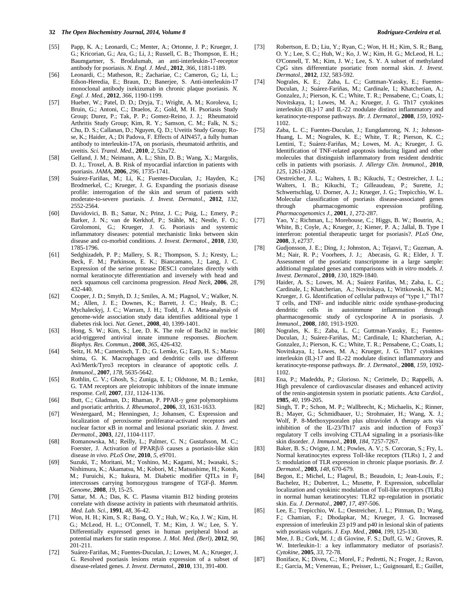- [55] Papp, K. A.; Leonardi, C.; Menter, A.; Ortonne, J. P.; Krueger, J. G.; Kricorian, G.; Ara, G.; Li, J.; Russell, C. B.; Thompson, E. H.; Baumgartner, S. Brodalumab, an anti-interleukin-17-receptor antibody for psoriasis. *N. Engl. J. Med.*, **2012**, *366*, 1181-1189.
- [56] Leonardi, C.; Matheson, R.; Zachariae, C.; Cameron, G,; Li, L.; Edson-Heredia, E.; Braun, D.; Banerjee, S. Anti-interleukin-17 monoclonal antibody ixekizumab in chronic plaque psoriasis. *N. Engl. J. Med.*, **2012**, *366*, 1190-1199.
- [57] Hueber, W.; Patel, D. D.; Dryja, T.; Wright, A. M.; Koroleva, I.; Bruin, G.; Antoni, C.; Draelos, Z.; Gold, M. H. Psoriasis Study Group; Durez, P.; Tak, P. P.; Gomez-Reino, J. J.; Rheumatoid Arthritis Study Group; Kim, R. Y.; Samson, C. M.; Falk, N. S.; Chu, D. S.; Callanan, D.; Nguyen, Q. D.; Uveitis Study Group; Rose, K.; Haider, A.; Di Padova, F. Effects of AIN457, a fully human antibody to interleukin-17A, on psoriasis, rheumatoid arthritis, and uveitis. *Sci. Transl. Med.*, **2010**, *2*, 52ra72.
- [58] Gelfand, J. M.; Neimann, A. L.; Shin, D. B.; Wang, X.; Margolis, D. J.;. Troxel, A. B. Risk of myocardial infarction in patients with psoriasis. *JAMA*, **2006**, *296*, 1735-1741.
- [59] Suárez-Fariñas, M.; Li, K.; Fuentes-Duculan, J.; Hayden, K.; Brodmerkel, C.; Krueger, J. G. Expanding the psoriasis disease profile: interrogation of the skin and serum of patients with moderate-to-severe psoriasis. *J. Invest. Dermatol.*, **2012**, *132*, 2552-2564.
- [60] Davidovici, B. B.; Sattar, N.; Prinz, J. C.; Puig, L.; Emery, P.; Barker, J. N.; van de Kerkhof, P.; Ståhle, M.; Nestle, F. O.; Girolomoni, G.; Krueger, J. G. Psoriasis and systemic inflammatory diseases: potential mechanistic links between skin disease and co-morbid conditions. *J. Invest. Dermatol.*, **2010**, *130*, 1785-1796.
- [61] Sedghizadeh, P. P.; Mallery, S. R.; Thompson, S. J.; Kresty, L.; Beck, F. M.; Parkinson, E. K.; Biancamano, J.; Lang, J. C. Expression of the serine protease DESC1 correlates directly with normal keratinocyte differentiation and inversely with head and neck squamous cell carcinoma progression. *Head Neck*, **2006**, *28*, 432-440.
- [62] Cooper, J. D.; Smyth, D. J.; Smiles, A. M.[; Plagnol, V.;](http://www.ncbi.nlm.nih.gov/pubmed?term=Plagnol%20V%5BAuthor%5D&cauthor=true&cauthor_uid=18978792) [Walker, N.](http://www.ncbi.nlm.nih.gov/pubmed?term=Walker%20NM%5BAuthor%5D&cauthor=true&cauthor_uid=18978792)  [M.;](http://www.ncbi.nlm.nih.gov/pubmed?term=Walker%20NM%5BAuthor%5D&cauthor=true&cauthor_uid=18978792) [Allen, J. E.;](http://www.ncbi.nlm.nih.gov/pubmed?term=Allen%20JE%5BAuthor%5D&cauthor=true&cauthor_uid=18978792) [Downes, K.;](http://www.ncbi.nlm.nih.gov/pubmed?term=Downes%20K%5BAuthor%5D&cauthor=true&cauthor_uid=18978792) [Barrett, J. C.;](http://www.ncbi.nlm.nih.gov/pubmed?term=Barrett%20JC%5BAuthor%5D&cauthor=true&cauthor_uid=18978792) [Healy, B. C.;](http://www.ncbi.nlm.nih.gov/pubmed?term=Healy%20BC%5BAuthor%5D&cauthor=true&cauthor_uid=18978792) [Mychaleckyj, J. C.;](http://www.ncbi.nlm.nih.gov/pubmed?term=Mychaleckyj%20JC%5BAuthor%5D&cauthor=true&cauthor_uid=18978792) [Warram, J. H.](http://www.ncbi.nlm.nih.gov/pubmed?term=Warram%20JH%5BAuthor%5D&cauthor=true&cauthor_uid=18978792); [Todd, J. A.](http://www.ncbi.nlm.nih.gov/pubmed?term=Todd%20JA%5BAuthor%5D&cauthor=true&cauthor_uid=18978792) Meta-analysis of genome-wide association study data identifies additional type 1 diabetes risk loci. *Nat. Genet.*, **2008**, 40, 1399-1401.
- [63] Hong, S. W.; Kim, S.; Lee, D. K. The role of Bach2 in nucleic acid-triggered antiviral innate immune responses. *Biochem. Biophys. Res. Commun.*, **2008**, *365*, 426-432.
- [64] Seitz, H. M.; Camenisch, T. D.; G. Lemke, G.; Earp, H. S.; Matsushima, G. K. Macrophages and dendritic cells use different Axl/Mertk/Tyro3 receptors in clearance of apoptotic cells. *J. Immunol.*, **2007**, *178*, 5635-5642.
- [65] Rothlin, C. V.; Ghosh, S.; Zuniga, E. I.; Oldstone, M. B.; Lemke, G. TAM receptors are pleiotropic inhibitors of the innate immune response. *Cell*, **2007**, *131*, 1124-1136.
- [66] Butt, C.; Gladman, D.; Rhaman, P. PPAR- $\gamma$  gene polymorphisms and psoriatic arthritis. *J. Rheumatol.*, **2006**, *33*, 1631-1633.
- [67] Westergaard, M.; Henningsen, J.; Johansen, C. Expression and localization of peroxisome proliferator-activated receptors and nuclear factor  $\kappa$ B in normal and lesional psoriatic skin. *J. Invest. Dermatol.*, **2003**, *121*, 1104-1117.
- [68] Romanowska, M.; Reilly, L.; Palmer, C. N.; Gustafsson, M. C.; Foerster, J. Activation of PPAR $\beta$ / $\delta$  causes a psoriasis-like skin disease *in vivo*. *PLoS One*, **2010**, *5*, e9701.
- [69] Suzuki, T.; Moritani, M.; Yoshino, M.; Kagami, M.; Iwasaki, S.; Nishimura, K.; Akamatsu, M.; Kobori, M.; Matsushime, H.; Kotoh, M.; Furuichi, K.; Itakura, M. Diabetic modifier QTLs in F<sub>2</sub> intercrosses carrying homozygous transgene of TGF- $\beta$ . *Mamm. Genome*, **2008**, *19*, 15-25.
- [70] Sattar, M. A.; Das, K. C. Plasma vitamin B12 binding proteins correlate with disease activity in patients with rheumatoid arthritis. *Med. Lab. Sci.*, **1991**, *48*, 36-42.
- [71] Won, H. H.; Kim, S. R.; Bang, O. Y.; Huh, W.; Ko, J. W.; Kim, H. G.; McLeod, H. L.; O'Connell, T. M.; Kim, J. W.; Lee, S. Y. Differentially expressed genes in human peripheral blood as potential markers for statin response. *J. Mol. Med. (Berl)*, **2012**, *90*, 201-211.
- [72] Suárez-Fariñas, M.; Fuentes-Duculan, J.; Lowes, M. A.; Krueger, J. G. Resolved psoriasis lesions retain expression of a subset of disease-related genes. *J. Invest. Dermatol.*, **2010**, 131, 391-400.
- [73] Robertson, E. D.; Liu, Y.; Ryan, C.; Won, H. H.; Kim, S. R.; Bang, O. Y.; Lee, S. C.; Huh, W.; Ko, J. W.; Kim, H. G.; McLeod, H. L.; O'Connell, T. M.; Kim, J. W.; Lee, S. Y. A subset of methylated CpG sites differentiate psoriatic from normal skin. *J. Invest. Dermatol.*, **2012**, *132*, 583-592.
- [74] Nograles, K. E.; Zaba, L. C.; Guttman-Yassky, E.; [Fuentes-](http://www.ncbi.nlm.nih.gov/pubmed?term=Fuentes-Duculan%20J%5BAuthor%5D&cauthor=true&cauthor_uid=18684158)[Duculan, J.;](http://www.ncbi.nlm.nih.gov/pubmed?term=Fuentes-Duculan%20J%5BAuthor%5D&cauthor=true&cauthor_uid=18684158) [Suárez-Fariñas, M.](http://www.ncbi.nlm.nih.gov/pubmed?term=Su%C3%A1rez-Fari%C3%B1as%20M%5BAuthor%5D&cauthor=true&cauthor_uid=18684158); [Cardinale, I.](http://www.ncbi.nlm.nih.gov/pubmed?term=Cardinale%20I%5BAuthor%5D&cauthor=true&cauthor_uid=18684158); [Khatcherian, A.;](http://www.ncbi.nlm.nih.gov/pubmed?term=Khatcherian%20A%5BAuthor%5D&cauthor=true&cauthor_uid=18684158) [Gonzalez, J.;](http://www.ncbi.nlm.nih.gov/pubmed?term=Gonzalez%20J%5BAuthor%5D&cauthor=true&cauthor_uid=18684158) [Pierson, K. C.;](http://www.ncbi.nlm.nih.gov/pubmed?term=Pierson%20KC%5BAuthor%5D&cauthor=true&cauthor_uid=18684158) [White, T. R.](http://www.ncbi.nlm.nih.gov/pubmed?term=White%20TR%5BAuthor%5D&cauthor=true&cauthor_uid=18684158)[; Pensabene, C.](http://www.ncbi.nlm.nih.gov/pubmed?term=Pensabene%20C%5BAuthor%5D&cauthor=true&cauthor_uid=18684158)[; Coats, I.;](http://www.ncbi.nlm.nih.gov/pubmed?term=Coats%20I%5BAuthor%5D&cauthor=true&cauthor_uid=18684158) [Novitskaya, I.;](http://www.ncbi.nlm.nih.gov/pubmed?term=Novitskaya%20I%5BAuthor%5D&cauthor=true&cauthor_uid=18684158) [Lowes, M. A.](http://www.ncbi.nlm.nih.gov/pubmed?term=Lowes%20MA%5BAuthor%5D&cauthor=true&cauthor_uid=18684158); [Krueger, J. G.](http://www.ncbi.nlm.nih.gov/pubmed?term=Krueger%20JG%5BAuthor%5D&cauthor=true&cauthor_uid=18684158) Th17 cytokines interleukin (IL)-17 and IL-22 modulate distinct inflammatory and keratinocyte-response pathways. *Br. J. Dermatol.*, **2008**, *159*, 1092- 1102.
- [75] Zaba, L. C.; Fuentes-Duculan, J.; Eungdamrong, N. J.; [Johnson-](http://www.ncbi.nlm.nih.gov/pubmed?term=Johnson-Huang%20LM%5BAuthor%5D&cauthor=true&cauthor_uid=20471070)[Huang, L. M.](http://www.ncbi.nlm.nih.gov/pubmed?term=Johnson-Huang%20LM%5BAuthor%5D&cauthor=true&cauthor_uid=20471070); [Nograles, K. E.;](http://www.ncbi.nlm.nih.gov/pubmed?term=Nograles%20KE%5BAuthor%5D&cauthor=true&cauthor_uid=20471070) [White, T. R.;](http://www.ncbi.nlm.nih.gov/pubmed?term=White%20TR%5BAuthor%5D&cauthor=true&cauthor_uid=20471070) [Pierson, K. C.;](http://www.ncbi.nlm.nih.gov/pubmed?term=Pierson%20KC%5BAuthor%5D&cauthor=true&cauthor_uid=20471070) [Lentini, T.;](http://www.ncbi.nlm.nih.gov/pubmed?term=Lentini%20T%5BAuthor%5D&cauthor=true&cauthor_uid=20471070) [Suárez-Fariñas, M.;](http://www.ncbi.nlm.nih.gov/pubmed?term=Su%C3%A1rez-Fari%C3%B1as%20M%5BAuthor%5D&cauthor=true&cauthor_uid=20471070) [Lowes, M. A.;](http://www.ncbi.nlm.nih.gov/pubmed?term=Lowes%20MA%5BAuthor%5D&cauthor=true&cauthor_uid=20471070) [Krueger, J. G.](http://www.ncbi.nlm.nih.gov/pubmed?term=Krueger%20JG%5BAuthor%5D&cauthor=true&cauthor_uid=20471070)  Identification of TNF-related apoptosis inducing ligand and other molecules that distinguish inflammatory from resident dendritic cells in patients with psoriasis. *J. Allergy Clin. Immunol.*, **2010**, *125*, 1261-1268.
- [76] Oestreicher, J. L.; Walters, I. B.; Kikuchi, T.; Oestreicher, J. L.; Walters, I. B.; Kikuchi, T.; Gilleaudeau, P.; Surette, J.; Schwertschlag, U. Dorner, A. J.; Krueger, J. G.; Trepicchio, W. L. Molecular classification of psoriasis disease-associated genes through pharmacogenomic expression profiling. *Pharmacogenomics J.*, **2001**, *1*, 272-287.
- [77] Yao, Y.; Richman, L.; Morehouse, C.; Higgs, B. W.; Boutrin, A.; White, B.; Coyle, A.; Krueger, J.; Kiener, P. A.; Jallal, B. Type I interferon: potential therapeutic target for psoriasis?. *PLoS One*, **2008**, *3*, e2737.
- [78] Gudjonsson, J. E.; Ding, J.; Johnston, A.; [Tejasvi, T.;](http://www.ncbi.nlm.nih.gov/pubmed?term=Tejasvi%20T%5BAuthor%5D&cauthor=true&cauthor_uid=20220767) [Guzman, A.](http://www.ncbi.nlm.nih.gov/pubmed?term=Guzman%20AM%5BAuthor%5D&cauthor=true&cauthor_uid=20220767)  [M.;](http://www.ncbi.nlm.nih.gov/pubmed?term=Guzman%20AM%5BAuthor%5D&cauthor=true&cauthor_uid=20220767) [Nair, R. P.](http://www.ncbi.nlm.nih.gov/pubmed?term=Nair%20RP%5BAuthor%5D&cauthor=true&cauthor_uid=20220767); [Voorhees, J. J.;](http://www.ncbi.nlm.nih.gov/pubmed?term=Voorhees%20JJ%5BAuthor%5D&cauthor=true&cauthor_uid=20220767) [Abecasis, G. R.;](http://www.ncbi.nlm.nih.gov/pubmed?term=Abecasis%20GR%5BAuthor%5D&cauthor=true&cauthor_uid=20220767) [Elder, J. T.](http://www.ncbi.nlm.nih.gov/pubmed?term=Elder%20JT%5BAuthor%5D&cauthor=true&cauthor_uid=20220767)  Assessment of the psoriatic transcriptome in a large sample: additional regulated genes and comparisons with *in vitro* models. *J. Invest. Dermatol.*, **2010**, *130*, 1829-1840.
- [79] Haider, A. S.; Lowes, M. A.; Suárez Fariñas, M.; [Zaba, L. C.;](http://www.ncbi.nlm.nih.gov/pubmed?term=Zaba%20LC%5BAuthor%5D&cauthor=true&cauthor_uid=18209089) [Cardinale, I.;](http://www.ncbi.nlm.nih.gov/pubmed?term=Cardinale%20I%5BAuthor%5D&cauthor=true&cauthor_uid=18209089) [Khatcherian, A.](http://www.ncbi.nlm.nih.gov/pubmed?term=Khatcherian%20A%5BAuthor%5D&cauthor=true&cauthor_uid=18209089); [Novitskaya, I.;](http://www.ncbi.nlm.nih.gov/pubmed?term=Novitskaya%20I%5BAuthor%5D&cauthor=true&cauthor_uid=18209089) [Wittkowski, K. M.;](http://www.ncbi.nlm.nih.gov/pubmed?term=Wittkowski%20KM%5BAuthor%5D&cauthor=true&cauthor_uid=18209089) [Krueger, J. G.](http://www.ncbi.nlm.nih.gov/pubmed?term=Krueger%20JG%5BAuthor%5D&cauthor=true&cauthor_uid=18209089) Identification of cellular pathways of "type 1," Th17 T cells, and TNF- and inducible nitric oxide synthase-producing dendritic cells in autoimmune inflammation through pharmacogenomic study of cyclosporine A in psoriasis. *J. Immunol.*, **2008**, *180*, 1913-1920.
- [80] Nograles, K. E.; Zaba, L. C.; Guttman-Yassky, E.; [Fuentes-](http://www.ncbi.nlm.nih.gov/pubmed?term=Fuentes-Duculan%20J%5BAuthor%5D&cauthor=true&cauthor_uid=18684158)[Duculan, J.;](http://www.ncbi.nlm.nih.gov/pubmed?term=Fuentes-Duculan%20J%5BAuthor%5D&cauthor=true&cauthor_uid=18684158) [Suárez-Fariñas, M.](http://www.ncbi.nlm.nih.gov/pubmed?term=Su%C3%A1rez-Fari%C3%B1as%20M%5BAuthor%5D&cauthor=true&cauthor_uid=18684158); [Cardinale, I.](http://www.ncbi.nlm.nih.gov/pubmed?term=Cardinale%20I%5BAuthor%5D&cauthor=true&cauthor_uid=18684158); [Khatcherian, A.;](http://www.ncbi.nlm.nih.gov/pubmed?term=Khatcherian%20A%5BAuthor%5D&cauthor=true&cauthor_uid=18684158) [Gonzalez, J.;](http://www.ncbi.nlm.nih.gov/pubmed?term=Gonzalez%20J%5BAuthor%5D&cauthor=true&cauthor_uid=18684158) [Pierson, K. C.;](http://www.ncbi.nlm.nih.gov/pubmed?term=Pierson%20KC%5BAuthor%5D&cauthor=true&cauthor_uid=18684158) [White, T. R.](http://www.ncbi.nlm.nih.gov/pubmed?term=White%20TR%5BAuthor%5D&cauthor=true&cauthor_uid=18684158)[; Pensabene, C.](http://www.ncbi.nlm.nih.gov/pubmed?term=Pensabene%20C%5BAuthor%5D&cauthor=true&cauthor_uid=18684158)[; Coats, I.;](http://www.ncbi.nlm.nih.gov/pubmed?term=Coats%20I%5BAuthor%5D&cauthor=true&cauthor_uid=18684158) [Novitskaya, I.;](http://www.ncbi.nlm.nih.gov/pubmed?term=Novitskaya%20I%5BAuthor%5D&cauthor=true&cauthor_uid=18684158) [Lowes, M. A.](http://www.ncbi.nlm.nih.gov/pubmed?term=Lowes%20MA%5BAuthor%5D&cauthor=true&cauthor_uid=18684158); [Krueger, J. G.](http://www.ncbi.nlm.nih.gov/pubmed?term=Krueger%20JG%5BAuthor%5D&cauthor=true&cauthor_uid=18684158) Th17 cytokines interleukin (IL)-17 and IL-22 modulate distinct inflammatory and keratinocyte-response pathways. *Br. J. Dermatol.*, **2008**, *159*, 1092- 1102.
- [81] Ena, P.; Madeddu, P.; Glorioso. N.; [Cerimele, D.;](http://www.ncbi.nlm.nih.gov/pubmed?term=Cerimele%20D%5BAuthor%5D&cauthor=true&cauthor_uid=3887825) [Rappelli, A.](http://www.ncbi.nlm.nih.gov/pubmed?term=Rappelli%20A%5BAuthor%5D&cauthor=true&cauthor_uid=3887825)  High prevalence of cardiovascular diseases and enhanced activity of the renin-angiotensin system in psoriatic patients. *Acta Cardiol.*, **1985**, *40*, 199-205.
- [82] Singh, T. P.; Schon, M. P.; Wallbrecht, K.; [Michaelis, K.](http://www.ncbi.nlm.nih.gov/pubmed?term=Michaelis%20K%5BAuthor%5D&cauthor=true&cauthor_uid=20488788); [Rinner,](http://www.ncbi.nlm.nih.gov/pubmed?term=Rinner%20B%5BAuthor%5D&cauthor=true&cauthor_uid=20488788)  [B.;](http://www.ncbi.nlm.nih.gov/pubmed?term=Rinner%20B%5BAuthor%5D&cauthor=true&cauthor_uid=20488788) [Mayer, G.;](http://www.ncbi.nlm.nih.gov/pubmed?term=Mayer%20G%5BAuthor%5D&cauthor=true&cauthor_uid=20488788) [Schmidbauer, U.](http://www.ncbi.nlm.nih.gov/pubmed?term=Schmidbauer%20U%5BAuthor%5D&cauthor=true&cauthor_uid=20488788); [Strohmaier, H.;](http://www.ncbi.nlm.nih.gov/pubmed?term=Strohmaier%20H%5BAuthor%5D&cauthor=true&cauthor_uid=20488788) [Wang, X. J.;](http://www.ncbi.nlm.nih.gov/pubmed?term=Wang%20XJ%5BAuthor%5D&cauthor=true&cauthor_uid=20488788) [Wolf, P.](http://www.ncbi.nlm.nih.gov/pubmed?term=Wolf%20P%5BAuthor%5D&cauthor=true&cauthor_uid=20488788) 8-Methoxypsoralen plus ultraviolet A therapy acts via inhibition of the IL-23/Th17 axis and induction of  $F\alpha p3$ <sup>+</sup> regulatory T cells involving CTLA4 signaling in a psoriasis-like skin disorder. *J. Immunol.*, **2010**, *184*, 7257-7267.
- [83] Baker, B. S.; Ovigne, J. M.; Powles, A. V.; S. Corcoran, S.; Fry, L. Normal keratinocytes express Toll-like receptors (TLRs) 1, 2 and 5: modulation of TLR expression in chronic plaque psoriasis. *Br. J. Dermatol.*, **2003**, *148*, 670-679.
- [84] Begon, E.; Michel, L.; Flageul, B.; [Beaudoin, I.;](http://www.ncbi.nlm.nih.gov/pubmed?term=Beaudoin%20I%5BAuthor%5D&cauthor=true&cauthor_uid=17951129) [Jean-Louis, F.;](http://www.ncbi.nlm.nih.gov/pubmed?term=Jean-Louis%20F%5BAuthor%5D&cauthor=true&cauthor_uid=17951129) [Bachelez, H.](http://www.ncbi.nlm.nih.gov/pubmed?term=Bachelez%20H%5BAuthor%5D&cauthor=true&cauthor_uid=17951129); [Dubertret, L.;](http://www.ncbi.nlm.nih.gov/pubmed?term=Dubertret%20L%5BAuthor%5D&cauthor=true&cauthor_uid=17951129) [Musette, P.](http://www.ncbi.nlm.nih.gov/pubmed?term=Musette%20P%5BAuthor%5D&cauthor=true&cauthor_uid=17951129) Expression, subcellular localization and cytokinic modulation of Toll-like receptors (TLRs) in normal human keratinocytes: TLR2 up-regulation in psoriatic skin. *Eu. J. Dermatol.*, **2007**, *17*, 497-506.
- [85] Lee, E.; Trepicchio, W. L.; Oestreicher, J. L.; [Pittman, D.;](http://www.ncbi.nlm.nih.gov/pubmed?term=Pittman%20D%5BAuthor%5D&cauthor=true&cauthor_uid=14707118) [Wang,](http://www.ncbi.nlm.nih.gov/pubmed?term=Wang%20F%5BAuthor%5D&cauthor=true&cauthor_uid=14707118)  [F.;](http://www.ncbi.nlm.nih.gov/pubmed?term=Wang%20F%5BAuthor%5D&cauthor=true&cauthor_uid=14707118) [Chamian, F.;](http://www.ncbi.nlm.nih.gov/pubmed?term=Chamian%20F%5BAuthor%5D&cauthor=true&cauthor_uid=14707118) [Dhodapkar, M.;](http://www.ncbi.nlm.nih.gov/pubmed?term=Dhodapkar%20M%5BAuthor%5D&cauthor=true&cauthor_uid=14707118) [Krueger, J. G.](http://www.ncbi.nlm.nih.gov/pubmed?term=Krueger%20JG%5BAuthor%5D&cauthor=true&cauthor_uid=14707118) Increased expression of interleukin 23 p19 and p40 in lesional skin of patients with psoriasis vulgaris. *J. Exp. Med.*, **2004**, *199*, 125-130.
- [86] Mee, J. B.; Cork, M. J.; di Giovine, F. S.; Duff, G. W.; Groves, R. W. Interleukin-1: a key inflammatory mediator of psoriasis?. *Cytokine*, **2005**, *33*, 72-78.
- [87] Boniface, K.; Diveu, C.; Morel, F.; [Pedretti, N.;](http://www.ncbi.nlm.nih.gov/pubmed?term=Pedretti%20N%5BAuthor%5D&cauthor=true&cauthor_uid=17372020) [Froger, J.](http://www.ncbi.nlm.nih.gov/pubmed?term=Froger%20J%5BAuthor%5D&cauthor=true&cauthor_uid=17372020); Ravon, [E.](http://www.ncbi.nlm.nih.gov/pubmed?term=Ravon%20E%5BAuthor%5D&cauthor=true&cauthor_uid=17372020)[; Garcia, M.;](http://www.ncbi.nlm.nih.gov/pubmed?term=Garcia%20M%5BAuthor%5D&cauthor=true&cauthor_uid=17372020) [Venereau, E.](http://www.ncbi.nlm.nih.gov/pubmed?term=Venereau%20E%5BAuthor%5D&cauthor=true&cauthor_uid=17372020); [Preisser, L.;](http://www.ncbi.nlm.nih.gov/pubmed?term=Preisser%20L%5BAuthor%5D&cauthor=true&cauthor_uid=17372020) [Guignouard, E.](http://www.ncbi.nlm.nih.gov/pubmed?term=Guignouard%20E%5BAuthor%5D&cauthor=true&cauthor_uid=17372020)[; Guillet,](http://www.ncbi.nlm.nih.gov/pubmed?term=Guillet%20G%5BAuthor%5D&cauthor=true&cauthor_uid=17372020)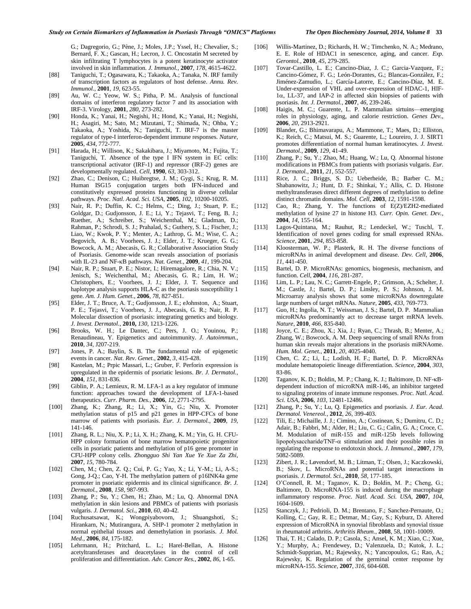G.; [Dagregorio, G.;](http://www.ncbi.nlm.nih.gov/pubmed?term=Dagregorio%20G%5BAuthor%5D&cauthor=true&cauthor_uid=17372020) [Pène, J.;](http://www.ncbi.nlm.nih.gov/pubmed?term=P%C3%A8ne%20J%5BAuthor%5D&cauthor=true&cauthor_uid=17372020) [Moles, J.P.](http://www.ncbi.nlm.nih.gov/pubmed?term=Moles%20JP%5BAuthor%5D&cauthor=true&cauthor_uid=17372020); [Yssel, H.](http://www.ncbi.nlm.nih.gov/pubmed?term=Yssel%20H%5BAuthor%5D&cauthor=true&cauthor_uid=17372020); [Chevalier, S.;](http://www.ncbi.nlm.nih.gov/pubmed?term=Chevalier%20S%5BAuthor%5D&cauthor=true&cauthor_uid=17372020) [Bernard, F. X.;](http://www.ncbi.nlm.nih.gov/pubmed?term=Bernard%20FX%5BAuthor%5D&cauthor=true&cauthor_uid=17372020) [Gascan, H.;](http://www.ncbi.nlm.nih.gov/pubmed?term=Gascan%20H%5BAuthor%5D&cauthor=true&cauthor_uid=17372020) [Lecron, J. C.](http://www.ncbi.nlm.nih.gov/pubmed?term=Lecron%20JC%5BAuthor%5D&cauthor=true&cauthor_uid=17372020) Oncostatin M secreted by skin infiltrating T lymphocytes is a potent keratinocyte activator involved in skin inflammation. *J. Immunol.*, **2007**, *178*, 4615-4622.

- [88] Taniguchi, T.; Ogasawara, K.; Takaoka, A.; Tanaka, N. IRF family of transcription factors as regulators of host defense. *Annu. Rev. Immunol.*, **2001**, *19*, 623-55.
- [89] Au, W. C.; Yeow, W. S.; Pitha, P. M.. Analysis of functional domains of interferon regulatory factor 7 and its association with IRF-3. Virology, **2001**, *280*, 273-282.
- [90] Honda, K.; Yanai, H.; Negishi, H.; Hond, K.; Yanai, H.; Negishi, H.; Asagiri, M.; Sato, M.; Mizutani, T.; Shimada, N.; Ohba, Y.; Takaoka, A.; Yoshida, N.; Taniguchi, T. IRF-7 is the master regulator of type-I interferon-dependent immune responses. *Nature*, **2005**, *434*, 772-777.
- [91] Harada, H.; Willison, K.; Sakakibara, J.; Miyamoto, M.; Fujita, T.; Taniguchi, T. Absence of the type I IFN system in EC cells: transcriptional activator (IRF-1) and repressor (IRF-2) genes are developmentally regulated. *Cell*, **1990**, *63*, 303-312.
- [92] Zhao, C.; Denison, C.; Huibregtse, J. M.; Gygi, S.; Krug, R. M. Human ISG15 conjugation targets both IFN-induced and constitutively expressed proteins functioning in diverse cellular pathways. *Proc. Natl. Acad. Sci. USA*, **2005**, *102*, 10200-10205.
- [93] Nair, R. P.; Duffin, K. C.; Helms, C.; [Ding, J.](http://www.ncbi.nlm.nih.gov/pubmed?term=Ding%20J%5BAuthor%5D&cauthor=true&cauthor_uid=19169254); [Stuart, P. E.;](http://www.ncbi.nlm.nih.gov/pubmed?term=Stuart%20PE%5BAuthor%5D&cauthor=true&cauthor_uid=19169254) [Goldgar, D.;](http://www.ncbi.nlm.nih.gov/pubmed?term=Goldgar%20D%5BAuthor%5D&cauthor=true&cauthor_uid=19169254) [Gudjonsson, J. E.;](http://www.ncbi.nlm.nih.gov/pubmed?term=Gudjonsson%20JE%5BAuthor%5D&cauthor=true&cauthor_uid=19169254) [Li, Y.;](http://www.ncbi.nlm.nih.gov/pubmed?term=Li%20Y%5BAuthor%5D&cauthor=true&cauthor_uid=19169254) [Tejasvi, T.](http://www.ncbi.nlm.nih.gov/pubmed?term=Tejasvi%20T%5BAuthor%5D&cauthor=true&cauthor_uid=19169254); [Feng, B. J.;](http://www.ncbi.nlm.nih.gov/pubmed?term=Feng%20BJ%5BAuthor%5D&cauthor=true&cauthor_uid=19169254) [Ruether, A.;](http://www.ncbi.nlm.nih.gov/pubmed?term=Ruether%20A%5BAuthor%5D&cauthor=true&cauthor_uid=19169254) [Schreiber, S.;](http://www.ncbi.nlm.nih.gov/pubmed?term=Schreiber%20S%5BAuthor%5D&cauthor=true&cauthor_uid=19169254) [Weichenthal, M.;](http://www.ncbi.nlm.nih.gov/pubmed?term=Weichenthal%20M%5BAuthor%5D&cauthor=true&cauthor_uid=19169254) [Gladman, D.;](http://www.ncbi.nlm.nih.gov/pubmed?term=Gladman%20D%5BAuthor%5D&cauthor=true&cauthor_uid=19169254) [Rahman, P.;](http://www.ncbi.nlm.nih.gov/pubmed?term=Rahman%20P%5BAuthor%5D&cauthor=true&cauthor_uid=19169254) [Schrodi, S. J.;](http://www.ncbi.nlm.nih.gov/pubmed?term=Schrodi%20SJ%5BAuthor%5D&cauthor=true&cauthor_uid=19169254) [Prahalad, S.](http://www.ncbi.nlm.nih.gov/pubmed?term=Prahalad%20S%5BAuthor%5D&cauthor=true&cauthor_uid=19169254)[; Guthery, S. L.](http://www.ncbi.nlm.nih.gov/pubmed?term=Guthery%20SL%5BAuthor%5D&cauthor=true&cauthor_uid=19169254)[; Fischer, J.;](http://www.ncbi.nlm.nih.gov/pubmed?term=Fischer%20J%5BAuthor%5D&cauthor=true&cauthor_uid=19169254) [Liao, W.](http://www.ncbi.nlm.nih.gov/pubmed?term=Liao%20W%5BAuthor%5D&cauthor=true&cauthor_uid=19169254); [Kwok, P. Y.;](http://www.ncbi.nlm.nih.gov/pubmed?term=Kwok%20PY%5BAuthor%5D&cauthor=true&cauthor_uid=19169254) [Menter, A.;](http://www.ncbi.nlm.nih.gov/pubmed?term=Menter%20A%5BAuthor%5D&cauthor=true&cauthor_uid=19169254) [Lathrop, G. M.](http://www.ncbi.nlm.nih.gov/pubmed?term=Lathrop%20GM%5BAuthor%5D&cauthor=true&cauthor_uid=19169254); [Wise, C. A.;](http://www.ncbi.nlm.nih.gov/pubmed?term=Wise%20CA%5BAuthor%5D&cauthor=true&cauthor_uid=19169254) [Begovich, A. B.;](http://www.ncbi.nlm.nih.gov/pubmed?term=Begovich%20AB%5BAuthor%5D&cauthor=true&cauthor_uid=19169254) [Voorhees, J. J.;](http://www.ncbi.nlm.nih.gov/pubmed?term=Voorhees%20JJ%5BAuthor%5D&cauthor=true&cauthor_uid=19169254) [Elder, J. T.;](http://www.ncbi.nlm.nih.gov/pubmed?term=Elder%20JT%5BAuthor%5D&cauthor=true&cauthor_uid=19169254) [Krueger, G. G.;](http://www.ncbi.nlm.nih.gov/pubmed?term=Krueger%20GG%5BAuthor%5D&cauthor=true&cauthor_uid=19169254) [Bowcock, A. M.;](http://www.ncbi.nlm.nih.gov/pubmed?term=Bowcock%20AM%5BAuthor%5D&cauthor=true&cauthor_uid=19169254) [Abecasis, G. R.;](http://www.ncbi.nlm.nih.gov/pubmed?term=Abecasis%20GR%5BAuthor%5D&cauthor=true&cauthor_uid=19169254) [Collaborative Association Study](http://www.ncbi.nlm.nih.gov/pubmed?term=Collaborative%20Association%20Study%20of%20Psoriasis%5BCorporate%20Author%5D)  [of Psoriasis.](http://www.ncbi.nlm.nih.gov/pubmed?term=Collaborative%20Association%20Study%20of%20Psoriasis%5BCorporate%20Author%5D) Genome-wide scan reveals association of psoriasis with IL-23 and NF-KB pathways. *Nat. Genet.*, **2009**, 41, 199-204.
- [94] Nair, R. P.; Stuart, P. E.; Nistor, I.; [Hiremagalore, R.](http://www.ncbi.nlm.nih.gov/pubmed?term=Hiremagalore%20R%5BAuthor%5D&cauthor=true&cauthor_uid=16642438)[; Chia, N. V.;](http://www.ncbi.nlm.nih.gov/pubmed?term=Chia%20NV%5BAuthor%5D&cauthor=true&cauthor_uid=16642438) [Jenisch, S.;](http://www.ncbi.nlm.nih.gov/pubmed?term=Jenisch%20S%5BAuthor%5D&cauthor=true&cauthor_uid=16642438) [Weichenthal, M.;](http://www.ncbi.nlm.nih.gov/pubmed?term=Weichenthal%20M%5BAuthor%5D&cauthor=true&cauthor_uid=16642438) [Abecasis, G. R.](http://www.ncbi.nlm.nih.gov/pubmed?term=Abecasis%20GR%5BAuthor%5D&cauthor=true&cauthor_uid=16642438); [Lim, H. W.;](http://www.ncbi.nlm.nih.gov/pubmed?term=Lim%20HW%5BAuthor%5D&cauthor=true&cauthor_uid=16642438) [Christophers, E.](http://www.ncbi.nlm.nih.gov/pubmed?term=Christophers%20E%5BAuthor%5D&cauthor=true&cauthor_uid=16642438); [Voorhees,](http://www.ncbi.nlm.nih.gov/pubmed?term=Voorhees%20JJ%5BAuthor%5D&cauthor=true&cauthor_uid=16642438) J. J.; [Elder, J. T.](http://www.ncbi.nlm.nih.gov/pubmed?term=Elder%20JT%5BAuthor%5D&cauthor=true&cauthor_uid=16642438) Sequence and haplotype analysis supports HLA-C as the psoriasis susceptibility 1 gene. *Am. J. Hum. Genet.*, **2006**, *78*, 827-851.
- [95] Elder, J. T.; Bruce, A. T.; Gudjonsson, J. E.; [eJohnston, A.](http://www.ncbi.nlm.nih.gov/pubmed?term=Johnston%20A%5BAuthor%5D&cauthor=true&cauthor_uid=19812592)[; Stuart,](http://www.ncbi.nlm.nih.gov/pubmed?term=Stuart%20PE%5BAuthor%5D&cauthor=true&cauthor_uid=19812592)  [P. E.](http://www.ncbi.nlm.nih.gov/pubmed?term=Stuart%20PE%5BAuthor%5D&cauthor=true&cauthor_uid=19812592); [Tejasvi, T.](http://www.ncbi.nlm.nih.gov/pubmed?term=Tejasvi%20T%5BAuthor%5D&cauthor=true&cauthor_uid=19812592); [Voorhees, J. J.,](http://www.ncbi.nlm.nih.gov/pubmed?term=Voorhees%20JJ%5BAuthor%5D&cauthor=true&cauthor_uid=19812592) [Abecasis, G. R.;](http://www.ncbi.nlm.nih.gov/pubmed?term=Abecasis%20GR%5BAuthor%5D&cauthor=true&cauthor_uid=19812592) [Nair, R. P.](http://www.ncbi.nlm.nih.gov/pubmed?term=Nair%20RP%5BAuthor%5D&cauthor=true&cauthor_uid=19812592)  Molecular dissection of psoriasis: integrating genetics and biology. *J. Invest. Dermatol.*, **2010,** *130*, 1213-1226.
- [96] Brooks, W. H.; Le Dantec, C.; Pers, J. O.; Youinou, P.; Renaudineau, Y. Epigenetics and autoimmunity. *J. Autoimmun.*, **2010**, *34*, J207-219.
- [97] Jones, P. A.; Baylin, S. B. The fundamental role of epigenetic events in cancer. *Nat. Rev. Genet.*, **2002**, *3*, 415-428.
- [98] Kastelan, M.; Prpic Massari, L.; Gruber, F. Perforin expression is upregulated in the epidermis of psoriatic lesions. *Br. J. Dermatol.*, **2004**, *151*, 831-836.
- [99] Giblin, P. A.; Lemieux, R. M. LFA-1 as a key regulator of immune function: approaches toward the development of LFA-1-based therapeutics. *Curr. Pharm. Des.*, **2006**, *12*, 2771-2795.
- [100] Zhang, K.; Zhang, R.; Li, X.; Yin, G.; Niu, X. Promoter methylation status of p15 and p21 genes in HPP-CFCs of bone marrow of patients with psoriasis. *Eur. J. Dermatol.*, **2009**, *19*, 141-146.
- [101] Zhang, R. L.; Niu, X. P.; Li, X. H.; Zhang, K. M.; Yin, G. H. CFU-HPP colony formation of bone marrow hematopoietic progenitor cells in psoriatic patients and methylation of p16 gene promoter in CFU-HPP colony cells. *Zhongguo Shi Yan Xue Ye Xue Za Zhi*, **2007**, *15*, 780-784.
- [102] Chen, M.; Chen, Z. Q.; Cui, P. G.; Yao, X.; Li, Y-M.; Li, A-S.; Gong, J-Q.; Cao, Y-H. The methylation pattern of p16INK4a gene promoter in psoriatic epidermis and its clinical significance. *Br. J. Dermatol.*, **2008**, *158*, 987-993.
- [103] Zhang, P.; Su, Y.; Chen, H.; Zhao, M.; Lu, Q. Abnormal DNA methylation in skin lesions and PBMCs of patients with psoriasis vulgaris. *J. Dermatol. Sci.*, **2010**, *60*, 40-42.
- [104] Ruchusatsawat, K.; Wongpiyabovorn, J.; Shuangshoti, S.; Hirankarn, N.; Mutirangura, A. SHP-1 promoter 2 methylation in normal epithelial tissues and demethylation in psoriasis. *J. Mol. Med.,* **2006**, *84*, 175-182.
- [105] Lehrmann, H.; Pritchard, L. L.; Harel-Bellan, A. Histone acetyltransferases and deacetylases in the control of cell proliferation and differentiation. *Adv. Cancer Res.*, **2002**, *86*, 1-65.
- [106] Willis-Martinez, D.; Richards, H. W.; Timchenko, N. A.; Medrano, E. E. Role of HDAC1 in senescence, aging, and cancer. *Exp. Gerontol.*, **2010**, *45*, 279-285.
- [107] Tovar-Castillo, L. E.; Cancino-Diaz, J. C.; Garcia-Vazquez, F.; [Cancino-Gómez, F. G.;](http://www.ncbi.nlm.nih.gov/pubmed?term=Cancino-G%C3%B3mez%20FG%5BAuthor%5D&cauthor=true&cauthor_uid=17343577) [León-Dorantes, G.;](http://www.ncbi.nlm.nih.gov/pubmed?term=Le%C3%B3n-Dorantes%20G%5BAuthor%5D&cauthor=true&cauthor_uid=17343577) [Blancas-González, F.;](http://www.ncbi.nlm.nih.gov/pubmed?term=Blancas-Gonz%C3%A1lez%20F%5BAuthor%5D&cauthor=true&cauthor_uid=17343577) [Jiménez-Zamudio, L.;](http://www.ncbi.nlm.nih.gov/pubmed?term=Jim%C3%A9nez-Zamudio%20L%5BAuthor%5D&cauthor=true&cauthor_uid=17343577) [García-Latorre, E.](http://www.ncbi.nlm.nih.gov/pubmed?term=Garc%C3%ADa-Latorre%20E%5BAuthor%5D&cauthor=true&cauthor_uid=17343577); [Cancino-Díaz, M. E.](http://www.ncbi.nlm.nih.gov/pubmed?term=Cancino-D%C3%ADaz%20ME%5BAuthor%5D&cauthor=true&cauthor_uid=17343577)  Under-expression of VHL and over-expression of HDAC-1, HIF- $1\alpha$ , LL-37, and IAP-2 in affected skin biopsies of patients with psoriasis. *Int. J. Dermatol.*, **2007**, *46*, 239-246.
- [108] Haigis, M. C.; Guarente, L. P. Mammalian sirtuins—emerging roles in physiology, aging, and calorie restriction. *Genes Dev.*, **2006**, *20*, 2913-2921.
- [109] Blander, G.; Bhimavarapu, A.; Mammone, T.; [Maes, D.;](http://www.ncbi.nlm.nih.gov/pubmed?term=Maes%20D%5BAuthor%5D&cauthor=true&cauthor_uid=18563176) Elliston, [K.;](http://www.ncbi.nlm.nih.gov/pubmed?term=Elliston%20K%5BAuthor%5D&cauthor=true&cauthor_uid=18563176) [Reich, C.](http://www.ncbi.nlm.nih.gov/pubmed?term=Reich%20C%5BAuthor%5D&cauthor=true&cauthor_uid=18563176); [Matsui, M. S.;](http://www.ncbi.nlm.nih.gov/pubmed?term=Matsui%20MS%5BAuthor%5D&cauthor=true&cauthor_uid=18563176) [Guarente, L.;](http://www.ncbi.nlm.nih.gov/pubmed?term=Guarente%20L%5BAuthor%5D&cauthor=true&cauthor_uid=18563176) [Loureiro, J. J.](http://www.ncbi.nlm.nih.gov/pubmed?term=Loureiro%20JJ%5BAuthor%5D&cauthor=true&cauthor_uid=18563176) SIRT1 promotes differentiation of normal human keratinocytes. *J. Invest. Dermatol.*, **2009**, *129*, 41-49.
- [110] Zhang, P.; Su, Y.; Zhao, M.; Huang, W.; Lu, Q. Abnormal histone modifications in PBMCs from patients with psoriasis vulgaris. *Eur. J. Dermatol.*, **2011**, *21*, 552-557.
- [111] Rice, J. C.; Briggs, S. D.; Ueberheide, B.; [Barber C. M.;](http://www.ncbi.nlm.nih.gov/pubmed?term=Barber%20CM%5BAuthor%5D&cauthor=true&cauthor_uid=14690610) [Shabanowitz, J.;](http://www.ncbi.nlm.nih.gov/pubmed?term=Shabanowitz%20J%5BAuthor%5D&cauthor=true&cauthor_uid=14690610) [Hunt, D. F.;](http://www.ncbi.nlm.nih.gov/pubmed?term=Hunt%20DF%5BAuthor%5D&cauthor=true&cauthor_uid=14690610) [Shinkai, Y.;](http://www.ncbi.nlm.nih.gov/pubmed?term=Shinkai%20Y%5BAuthor%5D&cauthor=true&cauthor_uid=14690610) [Allis, C. D.](http://www.ncbi.nlm.nih.gov/pubmed?term=Allis%20CD%5BAuthor%5D&cauthor=true&cauthor_uid=14690610) Histone methyltransferases direct different degrees of methylation to define distinct chromatin domains. *Mol. Cell*, **2003**, *12*, 1591-1598.
- [112] Cao, R.; Zhang, Y. The functions of E(Z)/EZH2-mediated methylation of lysine 27 in histone H3. *Curr. Opin. Genet. Dev.*, **2004**, *14*, 155-164.
- [113] Lagos-Quintana, M.; Rauhut, R.; Lendeckel, W.; Tuschl, T. Identification of novel genes coding for small expressed RNAs. *Science*, **2001**, *294*, 853-858.
- [114] Kloosterman, W. P.; Plasterk, R. H. The diverse functions of microRNAs in animal development and disease. *Dev. Cell*, **2006**, *11*, 441-450.
- [115] Bartel, D. P. MicroRNAs: genomics, biogenesis, mechanism, and function. *Cell*, **2004**, *116*, 281-287.
- [116] Lim, L. P.; Lau, N. C.; Garrett-Engele, P.; [Grimson, A.;](http://www.ncbi.nlm.nih.gov/pubmed?term=Grimson%20A%5BAuthor%5D&cauthor=true&cauthor_uid=15685193) Schelter, J. [M.;](http://www.ncbi.nlm.nih.gov/pubmed?term=Schelter%20JM%5BAuthor%5D&cauthor=true&cauthor_uid=15685193) [Castle, J.;](http://www.ncbi.nlm.nih.gov/pubmed?term=Castle%20J%5BAuthor%5D&cauthor=true&cauthor_uid=15685193) [Bartel, D. P.;](http://www.ncbi.nlm.nih.gov/pubmed?term=Bartel%20DP%5BAuthor%5D&cauthor=true&cauthor_uid=15685193) [Linsley, P. S.;](http://www.ncbi.nlm.nih.gov/pubmed?term=Linsley%20PS%5BAuthor%5D&cauthor=true&cauthor_uid=15685193) [Johnson, J. M.](http://www.ncbi.nlm.nih.gov/pubmed?term=Johnson%20JM%5BAuthor%5D&cauthor=true&cauthor_uid=15685193)  Microarray analysis shows that some microRNAs downregulate large numbers of target mRNAs. *Nature*, **2005**, *433*, 769-773.
- [117] Guo, H.; Ingolia, N. T.; Weissman, J. S.; Bartel, D. P. Mammalian microRNAs predominantly act to decrease target mRNA levels. *Nature*, **2010**, *466*, 835-840.
- [118] Joyce, C. E.; Zhou, X.; Xia, J.; [Ryan, C.;](http://www.ncbi.nlm.nih.gov/pubmed?term=Ryan%20C%5BAuthor%5D&cauthor=true&cauthor_uid=21807764) [Thrash, B.;](http://www.ncbi.nlm.nih.gov/pubmed?term=Thrash%20B%5BAuthor%5D&cauthor=true&cauthor_uid=21807764) [Menter, A.;](http://www.ncbi.nlm.nih.gov/pubmed?term=Menter%20A%5BAuthor%5D&cauthor=true&cauthor_uid=21807764) [Zhang, W.;](http://www.ncbi.nlm.nih.gov/pubmed?term=Zhang%20W%5BAuthor%5D&cauthor=true&cauthor_uid=21807764) [Bowcock, A. M.](http://www.ncbi.nlm.nih.gov/pubmed?term=Bowcock%20AM%5BAuthor%5D&cauthor=true&cauthor_uid=21807764) Deep sequencing of small RNAs from human skin reveals major alterations in the psoriasis miRNAome. *Hum. Mol. Genet.*, **2011**, *20*, 4025-4040.
- [119] Chen, C. Z.; Li, L.; Lodish, H. F.; Bartel, D. P. MicroRNAs modulate hematopoietic lineage differentiation. *Science*, **2004**, *303*, 83-86.
- [120] Taganov, K. D.; Boldin, M. P.; Chang, K. J.; Baltimore, D. NF-KBdependent induction of microRNA miR-146, an inhibitor targeted to signaling proteins of innate immune responses. *Proc. Natl. Acad. Sci. USA*, **2006**, *103*, 12481-12486.
- [121] Zhang, P.; Su, Y.; Lu, Q. Epigenetics and psoriasis. *J. Eur. Acad. Dermatol. Venereol.*, **2012**, *26*, 399-403.
- [122] Tili, E.; Michaille, J. J.; Cimino, A.[; Costinean, S.;](http://www.ncbi.nlm.nih.gov/pubmed?term=Costinean%20S%5BAuthor%5D&cauthor=true&cauthor_uid=17911593) [Dumitru, C. D.;](http://www.ncbi.nlm.nih.gov/pubmed?term=Dumitru%20CD%5BAuthor%5D&cauthor=true&cauthor_uid=17911593) [Adair, B.](http://www.ncbi.nlm.nih.gov/pubmed?term=Adair%20B%5BAuthor%5D&cauthor=true&cauthor_uid=17911593)[; Fabbri, M.](http://www.ncbi.nlm.nih.gov/pubmed?term=Fabbri%20M%5BAuthor%5D&cauthor=true&cauthor_uid=17911593)[; Alder, H.;](http://www.ncbi.nlm.nih.gov/pubmed?term=Alder%20H%5BAuthor%5D&cauthor=true&cauthor_uid=17911593) [Liu, C. G.](http://www.ncbi.nlm.nih.gov/pubmed?term=Liu%20CG%5BAuthor%5D&cauthor=true&cauthor_uid=17911593)[; Calin, G. A.;](http://www.ncbi.nlm.nih.gov/pubmed?term=Calin%20GA%5BAuthor%5D&cauthor=true&cauthor_uid=17911593) [Croce, C.](http://www.ncbi.nlm.nih.gov/pubmed?term=Croce%20CM%5BAuthor%5D&cauthor=true&cauthor_uid=17911593)  [M.](http://www.ncbi.nlm.nih.gov/pubmed?term=Croce%20CM%5BAuthor%5D&cauthor=true&cauthor_uid=17911593) Modulation of miR-155 and miR-125b levels following lipopolysaccharide/TNF- $\alpha$  stimulation and their possible roles in regulating the response to endotoxin shock. *J. Immunol.*, **2007**, *179*, 5082-5089.
- [123] Zibert, J. R.; Løvendorf, M. B.; Litman, T.; Olsen, J.; Kaczkowski, B.; Skov, L. MicroRNAs and potential target interactions in psoriasis. *J. Dermatol. Sci.*, **2010**, *58*, 177-185.
- [124] O'Connell, R. M.; Taganov, K. D.; Boldin, M. P.; Cheng, G.; Baltimore, D. MicroRNA-155 is induced during the macrophage inflammatory response. *Proc. Natl. Acad. Sci. USA*, **2007**, *104*, 1604-1609.
- [125] Stanczyk, J.; Pedrioli, D. M.; Brentano, F.; Sanchez-Pernaute, O.; Kolling, C.; Gay, R. E.; Detmar, M.; Gay, S.; Kyburz, D. Altered expression of MicroRNA in synovial fibroblasts and synovial tissue in rheumatoid arthritis. *Arthritis Rheum.*, **2008**, 58, 1001-10009.
- [126] Thai, T. H.; Calado, D. P.; Casola, S.[; Ansel, K. M.;](http://www.ncbi.nlm.nih.gov/pubmed?term=Ansel%20KM%5BAuthor%5D&cauthor=true&cauthor_uid=17463289) [Xiao, C.](http://www.ncbi.nlm.nih.gov/pubmed?term=Xiao%20C%5BAuthor%5D&cauthor=true&cauthor_uid=17463289)[; Xue,](http://www.ncbi.nlm.nih.gov/pubmed?term=Xue%20Y%5BAuthor%5D&cauthor=true&cauthor_uid=17463289)  [Y.](http://www.ncbi.nlm.nih.gov/pubmed?term=Xue%20Y%5BAuthor%5D&cauthor=true&cauthor_uid=17463289); [Murphy, A.](http://www.ncbi.nlm.nih.gov/pubmed?term=Murphy%20A%5BAuthor%5D&cauthor=true&cauthor_uid=17463289); [Frendewey, D.](http://www.ncbi.nlm.nih.gov/pubmed?term=Frendewey%20D%5BAuthor%5D&cauthor=true&cauthor_uid=17463289); [Valenzuela, D.;](http://www.ncbi.nlm.nih.gov/pubmed?term=Valenzuela%20D%5BAuthor%5D&cauthor=true&cauthor_uid=17463289) [Kutok, J. L.;](http://www.ncbi.nlm.nih.gov/pubmed?term=Kutok%20JL%5BAuthor%5D&cauthor=true&cauthor_uid=17463289) [Schmidt-Supprian, M.;](http://www.ncbi.nlm.nih.gov/pubmed?term=Schmidt-Supprian%20M%5BAuthor%5D&cauthor=true&cauthor_uid=17463289) [Rajewsky, N.](http://www.ncbi.nlm.nih.gov/pubmed?term=Rajewsky%20N%5BAuthor%5D&cauthor=true&cauthor_uid=17463289); [Yancopoulos, G.;](http://www.ncbi.nlm.nih.gov/pubmed?term=Yancopoulos%20G%5BAuthor%5D&cauthor=true&cauthor_uid=17463289) [Rao, A.;](http://www.ncbi.nlm.nih.gov/pubmed?term=Rao%20A%5BAuthor%5D&cauthor=true&cauthor_uid=17463289) [Rajewsky, K.](http://www.ncbi.nlm.nih.gov/pubmed?term=Rajewsky%20K%5BAuthor%5D&cauthor=true&cauthor_uid=17463289) Regulation of the germinal center response by microRNA-155. *Science*, **2007**, *316*, 604-608.